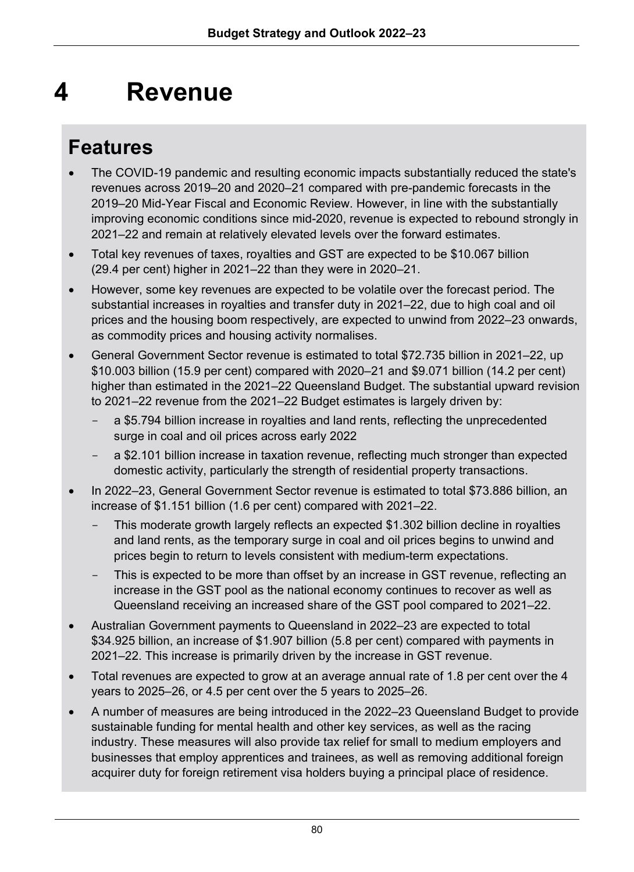# **4 Revenue**

## **Features**

- The COVID-19 pandemic and resulting economic impacts substantially reduced the state's revenues across 2019–20 and 2020–21 compared with pre-pandemic forecasts in the 2019–20 Mid-Year Fiscal and Economic Review. However, in line with the substantially improving economic conditions since mid-2020, revenue is expected to rebound strongly in 2021–22 and remain at relatively elevated levels over the forward estimates.
- Total key revenues of taxes, royalties and GST are expected to be \$10.067 billion (29.4 per cent) higher in 2021–22 than they were in 2020–21.
- However, some key revenues are expected to be volatile over the forecast period. The substantial increases in royalties and transfer duty in 2021–22, due to high coal and oil prices and the housing boom respectively, are expected to unwind from 2022–23 onwards, as commodity prices and housing activity normalises.
- General Government Sector revenue is estimated to total \$72.735 billion in 2021–22, up \$10.003 billion (15.9 per cent) compared with 2020–21 and \$9.071 billion (14.2 per cent) higher than estimated in the 2021–22 Queensland Budget. The substantial upward revision to 2021–22 revenue from the 2021–22 Budget estimates is largely driven by:
	- a \$5.794 billion increase in royalties and land rents, reflecting the unprecedented surge in coal and oil prices across early 2022
	- a \$2.101 billion increase in taxation revenue, reflecting much stronger than expected domestic activity, particularly the strength of residential property transactions.
- In 2022–23, General Government Sector revenue is estimated to total \$73.886 billion, an increase of \$1.151 billion (1.6 per cent) compared with 2021–22.
	- This moderate growth largely reflects an expected \$1.302 billion decline in royalties and land rents, as the temporary surge in coal and oil prices begins to unwind and prices begin to return to levels consistent with medium-term expectations.
	- This is expected to be more than offset by an increase in GST revenue, reflecting an increase in the GST pool as the national economy continues to recover as well as Queensland receiving an increased share of the GST pool compared to 2021–22.
- Australian Government payments to Queensland in 2022–23 are expected to total \$34.925 billion, an increase of \$1.907 billion (5.8 per cent) compared with payments in 2021–22. This increase is primarily driven by the increase in GST revenue.
- Total revenues are expected to grow at an average annual rate of 1.8 per cent over the 4 years to 2025–26, or 4.5 per cent over the 5 years to 2025–26.
- A number of measures are being introduced in the 2022–23 Queensland Budget to provide sustainable funding for mental health and other key services, as well as the racing industry. These measures will also provide tax relief for small to medium employers and businesses that employ apprentices and trainees, as well as removing additional foreign acquirer duty for foreign retirement visa holders buying a principal place of residence.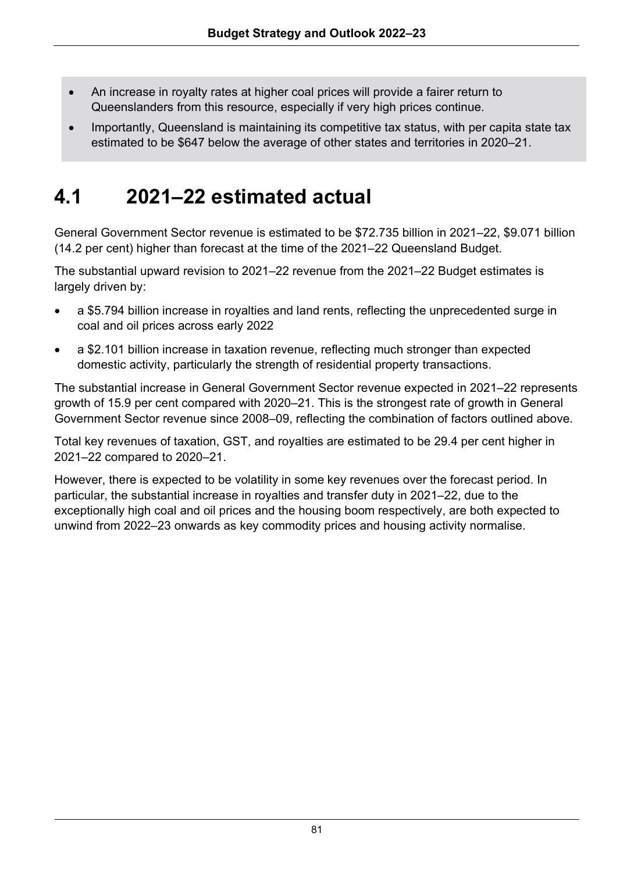- An increase in royalty rates at higher coal prices will provide a fairer return to Queenslanders from this resource, especially if very high prices continue.
- Importantly, Queensland is maintaining its competitive tax status, with per capita state tax estimated to be \$647 below the average of other states and territories in 2020–21.

## **4.1 2021–22 estimated actual**

General Government Sector revenue is estimated to be \$72.735 billion in 2021–22, \$9.071 billion (14.2 per cent) higher than forecast at the time of the 2021–22 Queensland Budget.

The substantial upward revision to 2021–22 revenue from the 2021–22 Budget estimates is largely driven by:

- a \$5.794 billion increase in royalties and land rents, reflecting the unprecedented surge in coal and oil prices across early 2022
- a \$2.101 billion increase in taxation revenue, reflecting much stronger than expected domestic activity, particularly the strength of residential property transactions.

The substantial increase in General Government Sector revenue expected in 2021–22 represents growth of 15.9 per cent compared with 2020–21. This is the strongest rate of growth in General Government Sector revenue since 2008–09, reflecting the combination of factors outlined above.

Total key revenues of taxation, GST, and royalties are estimated to be 29.4 per cent higher in 2021–22 compared to 2020–21.

However, there is expected to be volatility in some key revenues over the forecast period. In particular, the substantial increase in royalties and transfer duty in 2021–22, due to the exceptionally high coal and oil prices and the housing boom respectively, are both expected to unwind from 2022–23 onwards as key commodity prices and housing activity normalise.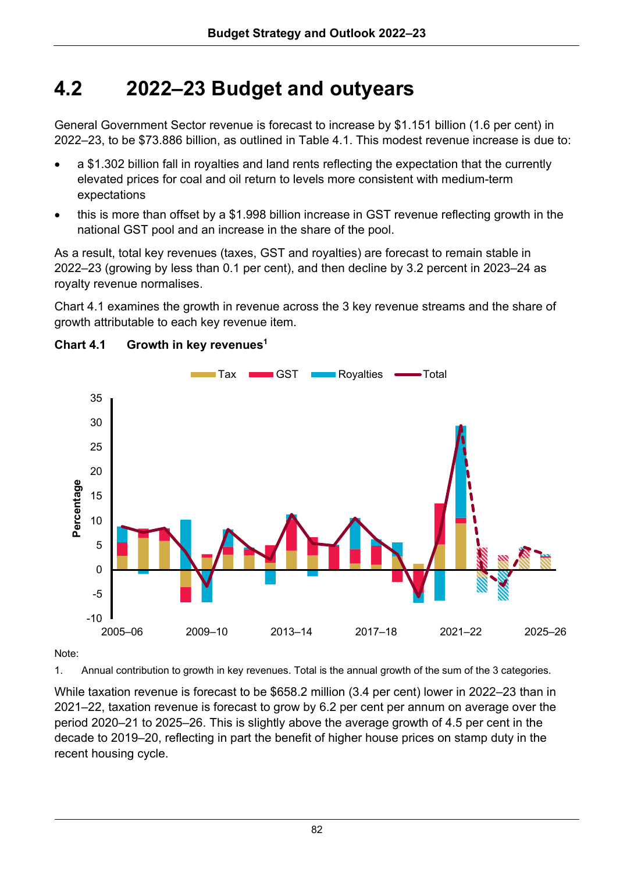## **4.2 2022–23 Budget and outyears**

General Government Sector revenue is forecast to increase by \$1.151 billion (1.6 per cent) in 2022–23, to be \$73.886 billion, as outlined in Table 4.1. This modest revenue increase is due to:

- a \$1.302 billion fall in royalties and land rents reflecting the expectation that the currently elevated prices for coal and oil return to levels more consistent with medium-term expectations
- this is more than offset by a \$1.998 billion increase in GST revenue reflecting growth in the national GST pool and an increase in the share of the pool.

As a result, total key revenues (taxes, GST and royalties) are forecast to remain stable in 2022–23 (growing by less than 0.1 per cent), and then decline by 3.2 percent in 2023–24 as royalty revenue normalises.

Chart 4.1 examines the growth in revenue across the 3 key revenue streams and the share of growth attributable to each key revenue item.



## **Chart 4.1 Growth in key revenues1**

Note:

1. Annual contribution to growth in key revenues. Total is the annual growth of the sum of the 3 categories.

While taxation revenue is forecast to be \$658.2 million (3.4 per cent) lower in 2022–23 than in 2021–22, taxation revenue is forecast to grow by 6.2 per cent per annum on average over the period 2020–21 to 2025–26. This is slightly above the average growth of 4.5 per cent in the decade to 2019–20, reflecting in part the benefit of higher house prices on stamp duty in the recent housing cycle.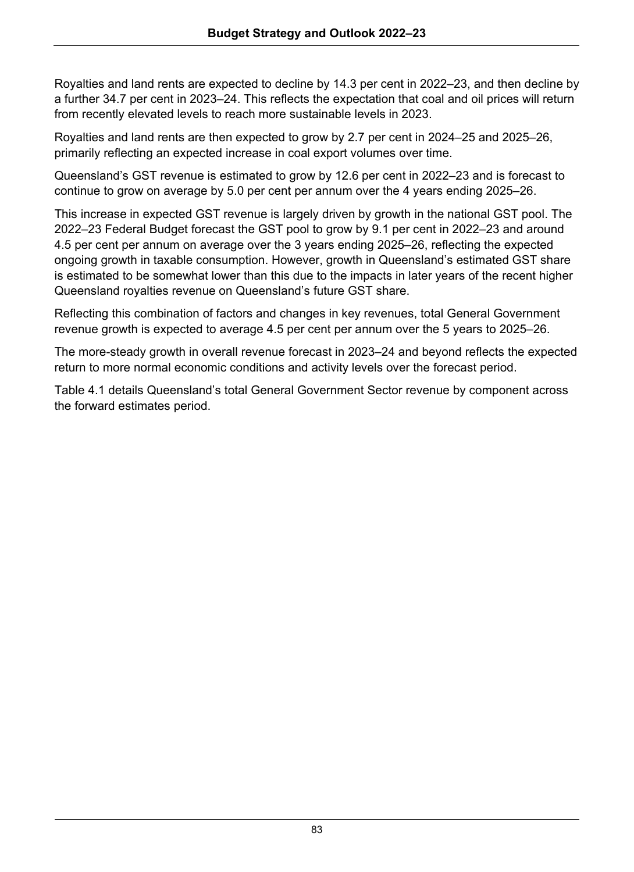Royalties and land rents are expected to decline by 14.3 per cent in 2022–23, and then decline by a further 34.7 per cent in 2023–24. This reflects the expectation that coal and oil prices will return from recently elevated levels to reach more sustainable levels in 2023.

Royalties and land rents are then expected to grow by 2.7 per cent in 2024–25 and 2025–26, primarily reflecting an expected increase in coal export volumes over time.

Queensland's GST revenue is estimated to grow by 12.6 per cent in 2022–23 and is forecast to continue to grow on average by 5.0 per cent per annum over the 4 years ending 2025–26.

This increase in expected GST revenue is largely driven by growth in the national GST pool. The 2022–23 Federal Budget forecast the GST pool to grow by 9.1 per cent in 2022–23 and around 4.5 per cent per annum on average over the 3 years ending 2025–26, reflecting the expected ongoing growth in taxable consumption. However, growth in Queensland's estimated GST share is estimated to be somewhat lower than this due to the impacts in later years of the recent higher Queensland royalties revenue on Queensland's future GST share.

Reflecting this combination of factors and changes in key revenues, total General Government revenue growth is expected to average 4.5 per cent per annum over the 5 years to 2025–26.

The more-steady growth in overall revenue forecast in 2023–24 and beyond reflects the expected return to more normal economic conditions and activity levels over the forecast period.

Table 4.1 details Queensland's total General Government Sector revenue by component across the forward estimates period.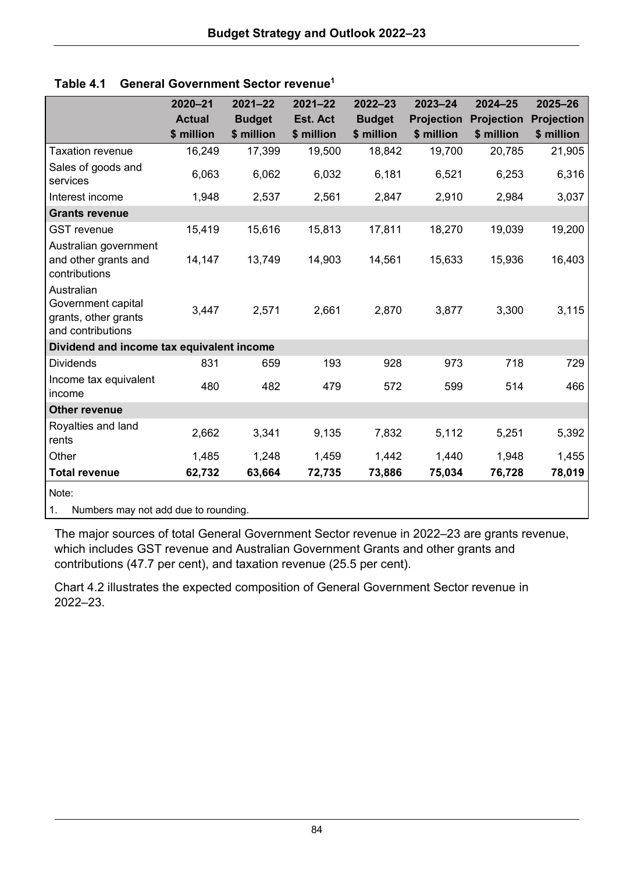|                                                                               | 2020-21       | $2021 - 22$   | $2021 - 22$ | $2022 - 23$   | $2023 - 24$       | $2024 - 25$       | $2025 - 26$ |
|-------------------------------------------------------------------------------|---------------|---------------|-------------|---------------|-------------------|-------------------|-------------|
|                                                                               | <b>Actual</b> | <b>Budget</b> | Est. Act    | <b>Budget</b> | <b>Projection</b> | <b>Projection</b> | Projection  |
|                                                                               | \$ million    | \$ million    | \$ million  | \$ million    | \$ million        | \$ million        | \$ million  |
| <b>Taxation revenue</b>                                                       | 16,249        | 17,399        | 19,500      | 18,842        | 19,700            | 20,785            | 21,905      |
| Sales of goods and<br>services                                                | 6,063         | 6,062         | 6,032       | 6,181         | 6,521             | 6,253             | 6,316       |
| Interest income                                                               | 1,948         | 2,537         | 2,561       | 2,847         | 2,910             | 2,984             | 3,037       |
| <b>Grants revenue</b>                                                         |               |               |             |               |                   |                   |             |
| <b>GST</b> revenue                                                            | 15,419        | 15,616        | 15,813      | 17,811        | 18,270            | 19,039            | 19,200      |
| Australian government<br>and other grants and<br>contributions                | 14,147        | 13,749        | 14,903      | 14,561        | 15,633            | 15,936            | 16,403      |
| Australian<br>Government capital<br>grants, other grants<br>and contributions | 3,447         | 2,571         | 2,661       | 2,870         | 3,877             | 3,300             | 3,115       |
| Dividend and income tax equivalent income                                     |               |               |             |               |                   |                   |             |
| <b>Dividends</b>                                                              | 831           | 659           | 193         | 928           | 973               | 718               | 729         |
| Income tax equivalent<br>income                                               | 480           | 482           | 479         | 572           | 599               | 514               | 466         |
| Other revenue                                                                 |               |               |             |               |                   |                   |             |
| Royalties and land<br>rents                                                   | 2,662         | 3,341         | 9,135       | 7,832         | 5,112             | 5,251             | 5,392       |
| Other                                                                         | 1,485         | 1,248         | 1,459       | 1,442         | 1,440             | 1,948             | 1,455       |
| <b>Total revenue</b>                                                          | 62,732        | 63,664        | 72,735      | 73,886        | 75,034            | 76,728            | 78,019      |
| Note:                                                                         |               |               |             |               |                   |                   |             |

|  | Table 4.1 General Government Sector revenue <sup>1</sup> |  |
|--|----------------------------------------------------------|--|
|--|----------------------------------------------------------|--|

1. Numbers may not add due to rounding.

The major sources of total General Government Sector revenue in 2022–23 are grants revenue, which includes GST revenue and Australian Government Grants and other grants and contributions (47.7 per cent), and taxation revenue (25.5 per cent).

Chart 4.2 illustrates the expected composition of General Government Sector revenue in 2022–23.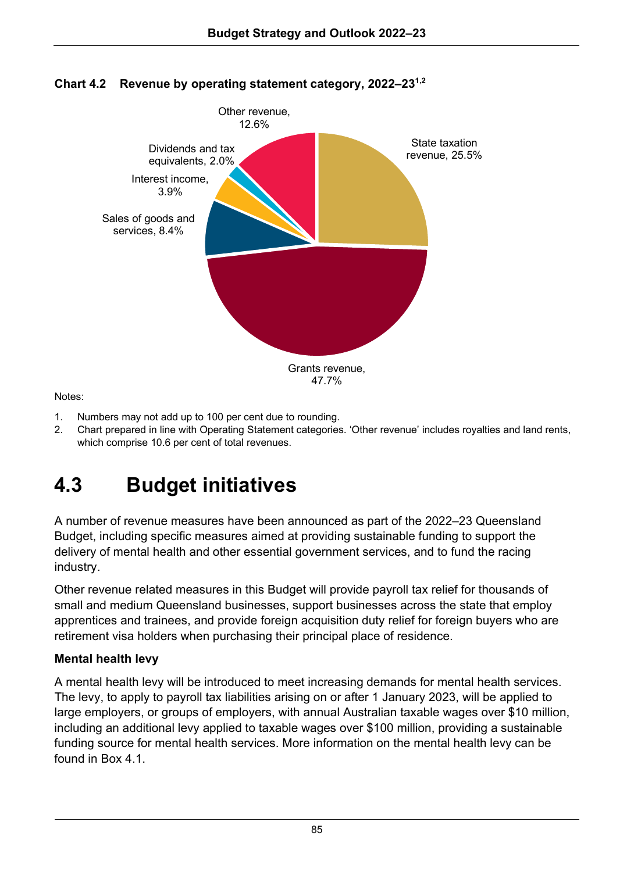

## **Chart 4.2 Revenue by operating statement category, 2022–231,2**

Notes:

- 1. Numbers may not add up to 100 per cent due to rounding.
- 2. Chart prepared in line with Operating Statement categories. 'Other revenue' includes royalties and land rents, which comprise 10.6 per cent of total revenues.

## **4.3 Budget initiatives**

A number of revenue measures have been announced as part of the 2022–23 Queensland Budget, including specific measures aimed at providing sustainable funding to support the delivery of mental health and other essential government services, and to fund the racing industry.

Other revenue related measures in this Budget will provide payroll tax relief for thousands of small and medium Queensland businesses, support businesses across the state that employ apprentices and trainees, and provide foreign acquisition duty relief for foreign buyers who are retirement visa holders when purchasing their principal place of residence.

## **Mental health levy**

A mental health levy will be introduced to meet increasing demands for mental health services. The levy, to apply to payroll tax liabilities arising on or after 1 January 2023, will be applied to large employers, or groups of employers, with annual Australian taxable wages over \$10 million, including an additional levy applied to taxable wages over \$100 million, providing a sustainable funding source for mental health services. More information on the mental health levy can be found in Box 4.1.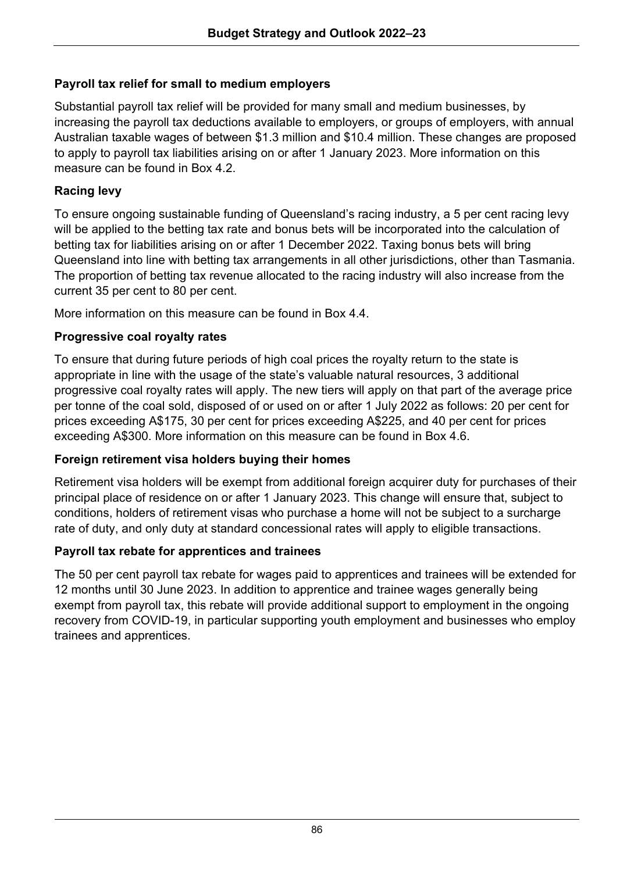## **Payroll tax relief for small to medium employers**

Substantial payroll tax relief will be provided for many small and medium businesses, by increasing the payroll tax deductions available to employers, or groups of employers, with annual Australian taxable wages of between \$1.3 million and \$10.4 million. These changes are proposed to apply to payroll tax liabilities arising on or after 1 January 2023. More information on this measure can be found in Box 4.2.

### **Racing levy**

To ensure ongoing sustainable funding of Queensland's racing industry, a 5 per cent racing levy will be applied to the betting tax rate and bonus bets will be incorporated into the calculation of betting tax for liabilities arising on or after 1 December 2022. Taxing bonus bets will bring Queensland into line with betting tax arrangements in all other jurisdictions, other than Tasmania. The proportion of betting tax revenue allocated to the racing industry will also increase from the current 35 per cent to 80 per cent.

More information on this measure can be found in Box 4.4.

## **Progressive coal royalty rates**

To ensure that during future periods of high coal prices the royalty return to the state is appropriate in line with the usage of the state's valuable natural resources, 3 additional progressive coal royalty rates will apply. The new tiers will apply on that part of the average price per tonne of the coal sold, disposed of or used on or after 1 July 2022 as follows: 20 per cent for prices exceeding A\$175, 30 per cent for prices exceeding A\$225, and 40 per cent for prices exceeding A\$300. More information on this measure can be found in Box 4.6.

### **Foreign retirement visa holders buying their homes**

Retirement visa holders will be exempt from additional foreign acquirer duty for purchases of their principal place of residence on or after 1 January 2023. This change will ensure that, subject to conditions, holders of retirement visas who purchase a home will not be subject to a surcharge rate of duty, and only duty at standard concessional rates will apply to eligible transactions.

### **Payroll tax rebate for apprentices and trainees**

The 50 per cent payroll tax rebate for wages paid to apprentices and trainees will be extended for 12 months until 30 June 2023. In addition to apprentice and trainee wages generally being exempt from payroll tax, this rebate will provide additional support to employment in the ongoing recovery from COVID-19, in particular supporting youth employment and businesses who employ trainees and apprentices.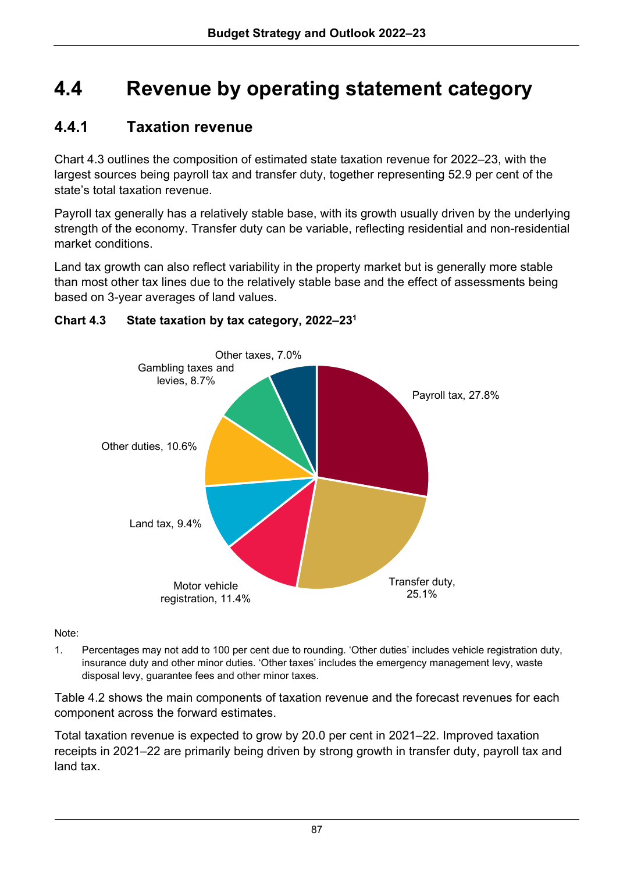## **4.4 Revenue by operating statement category**

## **4.4.1 Taxation revenue**

Chart 4.3 outlines the composition of estimated state taxation revenue for 2022–23, with the largest sources being payroll tax and transfer duty, together representing 52.9 per cent of the state's total taxation revenue.

Payroll tax generally has a relatively stable base, with its growth usually driven by the underlying strength of the economy. Transfer duty can be variable, reflecting residential and non-residential market conditions.

Land tax growth can also reflect variability in the property market but is generally more stable than most other tax lines due to the relatively stable base and the effect of assessments being based on 3-year averages of land values.



## **Chart 4.3 State taxation by tax category, 2022–231**

Note:

1. Percentages may not add to 100 per cent due to rounding. 'Other duties' includes vehicle registration duty, insurance duty and other minor duties. 'Other taxes' includes the emergency management levy, waste disposal levy, guarantee fees and other minor taxes.

Table 4.2 shows the main components of taxation revenue and the forecast revenues for each component across the forward estimates.

Total taxation revenue is expected to grow by 20.0 per cent in 2021–22. Improved taxation receipts in 2021–22 are primarily being driven by strong growth in transfer duty, payroll tax and land tax.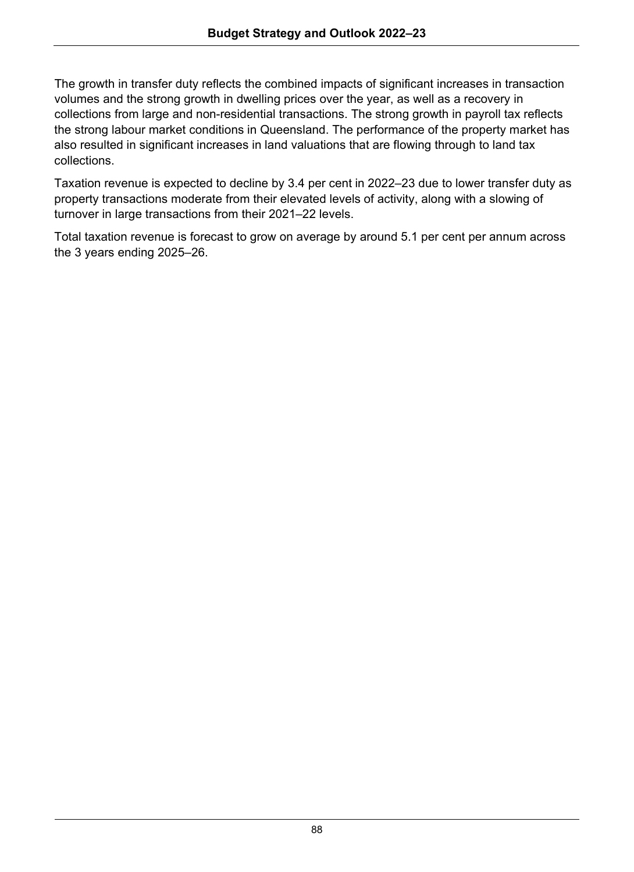The growth in transfer duty reflects the combined impacts of significant increases in transaction volumes and the strong growth in dwelling prices over the year, as well as a recovery in collections from large and non-residential transactions. The strong growth in payroll tax reflects the strong labour market conditions in Queensland. The performance of the property market has also resulted in significant increases in land valuations that are flowing through to land tax collections.

Taxation revenue is expected to decline by 3.4 per cent in 2022–23 due to lower transfer duty as property transactions moderate from their elevated levels of activity, along with a slowing of turnover in large transactions from their 2021–22 levels.

Total taxation revenue is forecast to grow on average by around 5.1 per cent per annum across the 3 years ending 2025–26.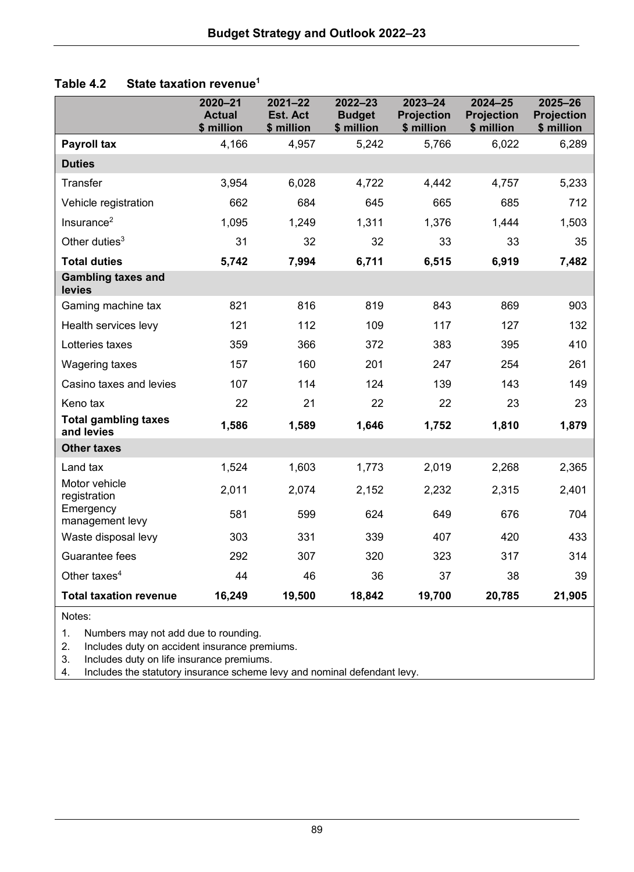| State taxation revenue <sup>1</sup><br>Table 4.2 |
|--------------------------------------------------|
|--------------------------------------------------|

|                                           | $2020 - 21$<br><b>Actual</b><br>\$ million | $2021 - 22$<br>Est. Act<br>\$ million | $2022 - 23$<br><b>Budget</b><br>\$ million | $2023 - 24$<br><b>Projection</b><br>\$ million | 2024-25<br><b>Projection</b><br>\$ million | $2025 - 26$<br><b>Projection</b><br>\$ million |
|-------------------------------------------|--------------------------------------------|---------------------------------------|--------------------------------------------|------------------------------------------------|--------------------------------------------|------------------------------------------------|
| <b>Payroll tax</b>                        | 4,166                                      | 4,957                                 | 5,242                                      | 5,766                                          | 6,022                                      | 6,289                                          |
| <b>Duties</b>                             |                                            |                                       |                                            |                                                |                                            |                                                |
| Transfer                                  | 3,954                                      | 6.028                                 | 4,722                                      | 4,442                                          | 4,757                                      | 5,233                                          |
| Vehicle registration                      | 662                                        | 684                                   | 645                                        | 665                                            | 685                                        | 712                                            |
| Insurance $2$                             | 1,095                                      | 1,249                                 | 1,311                                      | 1,376                                          | 1,444                                      | 1,503                                          |
| Other duties $3$                          | 31                                         | 32                                    | 32                                         | 33                                             | 33                                         | 35                                             |
| <b>Total duties</b>                       | 5,742                                      | 7,994                                 | 6,711                                      | 6,515                                          | 6,919                                      | 7,482                                          |
| <b>Gambling taxes and</b><br>levies       |                                            |                                       |                                            |                                                |                                            |                                                |
| Gaming machine tax                        | 821                                        | 816                                   | 819                                        | 843                                            | 869                                        | 903                                            |
| Health services levy                      | 121                                        | 112                                   | 109                                        | 117                                            | 127                                        | 132                                            |
| Lotteries taxes                           | 359                                        | 366                                   | 372                                        | 383                                            | 395                                        | 410                                            |
| Wagering taxes                            | 157                                        | 160                                   | 201                                        | 247                                            | 254                                        | 261                                            |
| Casino taxes and levies                   | 107                                        | 114                                   | 124                                        | 139                                            | 143                                        | 149                                            |
| Keno tax                                  | 22                                         | 21                                    | 22                                         | 22                                             | 23                                         | 23                                             |
| <b>Total gambling taxes</b><br>and levies | 1,586                                      | 1,589                                 | 1,646                                      | 1,752                                          | 1,810                                      | 1,879                                          |
| <b>Other taxes</b>                        |                                            |                                       |                                            |                                                |                                            |                                                |
| Land tax                                  | 1,524                                      | 1,603                                 | 1,773                                      | 2,019                                          | 2,268                                      | 2,365                                          |
| Motor vehicle<br>registration             | 2,011                                      | 2,074                                 | 2,152                                      | 2,232                                          | 2,315                                      | 2,401                                          |
| Emergency<br>management levy              | 581                                        | 599                                   | 624                                        | 649                                            | 676                                        | 704                                            |
| Waste disposal levy                       | 303                                        | 331                                   | 339                                        | 407                                            | 420                                        | 433                                            |
| Guarantee fees                            | 292                                        | 307                                   | 320                                        | 323                                            | 317                                        | 314                                            |
| Other taxes $4$                           | 44                                         | 46                                    | 36                                         | 37                                             | 38                                         | 39                                             |
| <b>Total taxation revenue</b>             | 16,249                                     | 19,500                                | 18,842                                     | 19,700                                         | 20,785                                     | 21,905                                         |

Notes:

1. Numbers may not add due to rounding.

2. Includes duty on accident insurance premiums.<br>3. Includes duty on life insurance premiums.

3. Includes duty on life insurance premiums.<br>4. Includes the statutory insurance scheme le

4. Includes the statutory insurance scheme levy and nominal defendant levy.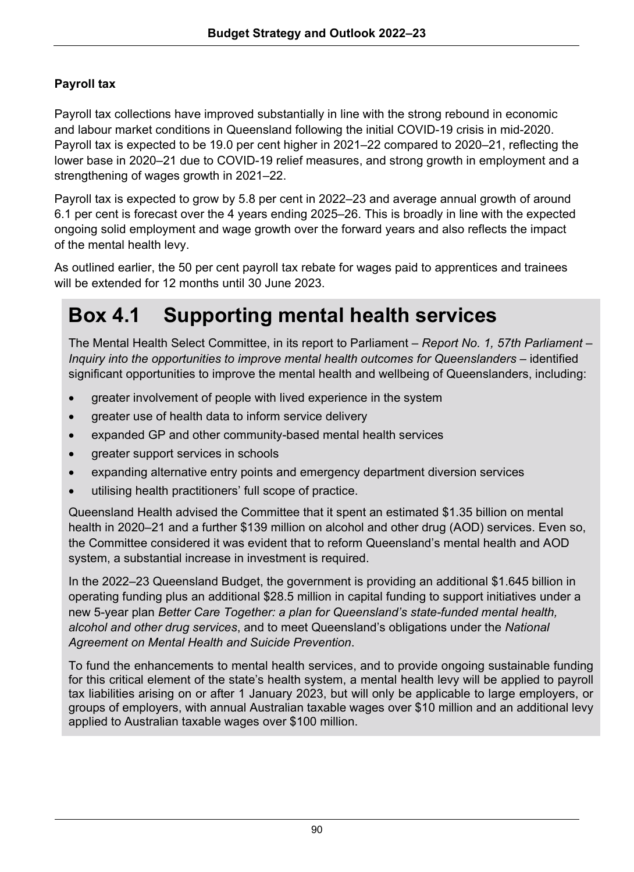## **Payroll tax**

Payroll tax collections have improved substantially in line with the strong rebound in economic and labour market conditions in Queensland following the initial COVID-19 crisis in mid-2020. Payroll tax is expected to be 19.0 per cent higher in 2021–22 compared to 2020–21, reflecting the lower base in 2020–21 due to COVID-19 relief measures, and strong growth in employment and a strengthening of wages growth in 2021–22.

Payroll tax is expected to grow by 5.8 per cent in 2022–23 and average annual growth of around 6.1 per cent is forecast over the 4 years ending 2025–26. This is broadly in line with the expected ongoing solid employment and wage growth over the forward years and also reflects the impact of the mental health levy.

As outlined earlier, the 50 per cent payroll tax rebate for wages paid to apprentices and trainees will be extended for 12 months until 30 June 2023

## **Box 4.1 Supporting mental health services**

The Mental Health Select Committee, in its report to Parliament *– Report No. 1, 57th Parliament – Inquiry into the opportunities to improve mental health outcomes for Queenslanders* – identified significant opportunities to improve the mental health and wellbeing of Queenslanders, including:

- greater involvement of people with lived experience in the system
- greater use of health data to inform service delivery
- expanded GP and other community-based mental health services
- greater support services in schools
- expanding alternative entry points and emergency department diversion services
- utilising health practitioners' full scope of practice.

Queensland Health advised the Committee that it spent an estimated \$1.35 billion on mental health in 2020–21 and a further \$139 million on alcohol and other drug (AOD) services. Even so, the Committee considered it was evident that to reform Queensland's mental health and AOD system, a substantial increase in investment is required.

In the 2022–23 Queensland Budget, the government is providing an additional \$1.645 billion in operating funding plus an additional \$28.5 million in capital funding to support initiatives under a new 5-year plan *Better Care Together: a plan for Queensland's state-funded mental health, alcohol and other drug services*, and to meet Queensland's obligations under the *National Agreement on Mental Health and Suicide Prevention*.

To fund the enhancements to mental health services, and to provide ongoing sustainable funding for this critical element of the state's health system, a mental health levy will be applied to payroll tax liabilities arising on or after 1 January 2023, but will only be applicable to large employers, or groups of employers, with annual Australian taxable wages over \$10 million and an additional levy applied to Australian taxable wages over \$100 million.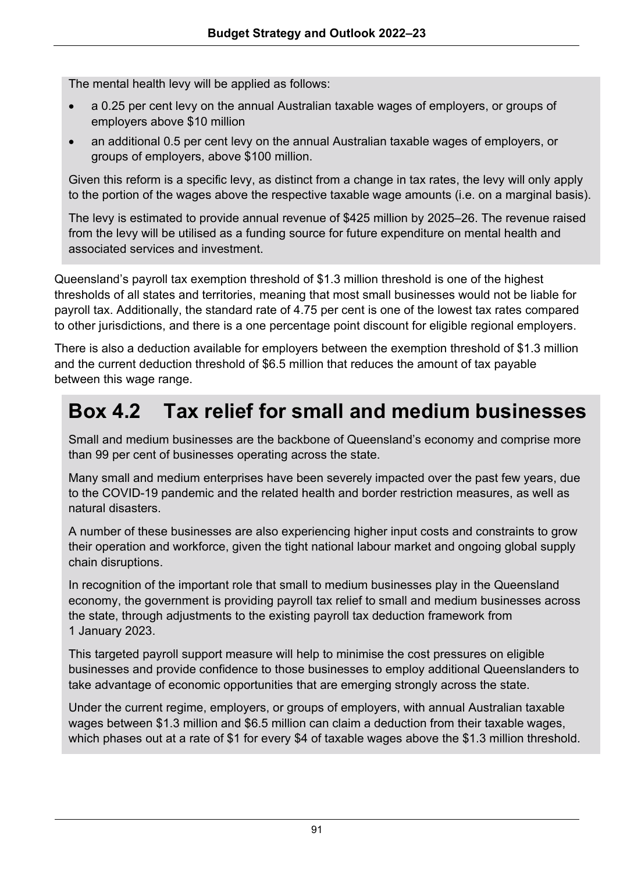The mental health levy will be applied as follows:

- a 0.25 per cent levy on the annual Australian taxable wages of employers, or groups of employers above \$10 million
- an additional 0.5 per cent levy on the annual Australian taxable wages of employers, or groups of employers, above \$100 million.

Given this reform is a specific levy, as distinct from a change in tax rates, the levy will only apply to the portion of the wages above the respective taxable wage amounts (i.e. on a marginal basis).

The levy is estimated to provide annual revenue of \$425 million by 2025–26. The revenue raised from the levy will be utilised as a funding source for future expenditure on mental health and associated services and investment.

Queensland's payroll tax exemption threshold of \$1.3 million threshold is one of the highest thresholds of all states and territories, meaning that most small businesses would not be liable for payroll tax. Additionally, the standard rate of 4.75 per cent is one of the lowest tax rates compared to other jurisdictions, and there is a one percentage point discount for eligible regional employers.

There is also a deduction available for employers between the exemption threshold of \$1.3 million and the current deduction threshold of \$6.5 million that reduces the amount of tax payable between this wage range.

## **Box 4.2 Tax relief for small and medium businesses**

Small and medium businesses are the backbone of Queensland's economy and comprise more than 99 per cent of businesses operating across the state.

Many small and medium enterprises have been severely impacted over the past few years, due to the COVID-19 pandemic and the related health and border restriction measures, as well as natural disasters.

A number of these businesses are also experiencing higher input costs and constraints to grow their operation and workforce, given the tight national labour market and ongoing global supply chain disruptions.

In recognition of the important role that small to medium businesses play in the Queensland economy, the government is providing payroll tax relief to small and medium businesses across the state, through adjustments to the existing payroll tax deduction framework from 1 January 2023.

This targeted payroll support measure will help to minimise the cost pressures on eligible businesses and provide confidence to those businesses to employ additional Queenslanders to take advantage of economic opportunities that are emerging strongly across the state.

Under the current regime, employers, or groups of employers, with annual Australian taxable wages between \$1.3 million and \$6.5 million can claim a deduction from their taxable wages, which phases out at a rate of \$1 for every \$4 of taxable wages above the \$1.3 million threshold.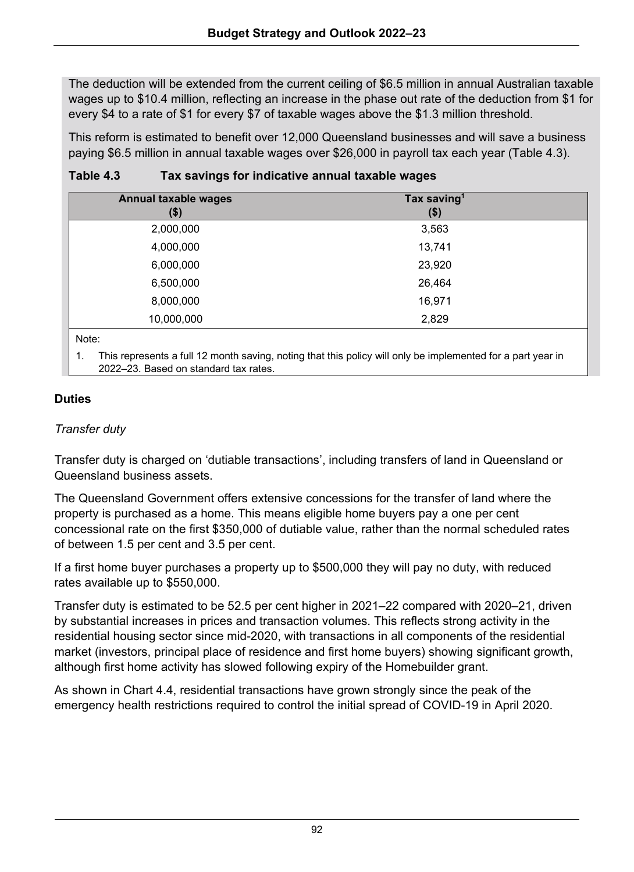The deduction will be extended from the current ceiling of \$6.5 million in annual Australian taxable wages up to \$10.4 million, reflecting an increase in the phase out rate of the deduction from \$1 for every \$4 to a rate of \$1 for every \$7 of taxable wages above the \$1.3 million threshold.

This reform is estimated to benefit over 12,000 Queensland businesses and will save a business paying \$6.5 million in annual taxable wages over \$26,000 in payroll tax each year (Table 4.3).

| Annual taxable wages<br>\$) | Tax saving <sup>1</sup><br>$($ \$) |  |
|-----------------------------|------------------------------------|--|
| 2,000,000                   | 3,563                              |  |
| 4,000,000                   | 13,741                             |  |
| 6,000,000                   | 23,920                             |  |
| 6,500,000                   | 26,464                             |  |
| 8,000,000                   | 16,971                             |  |
| 10,000,000                  | 2,829                              |  |
| Note:                       |                                    |  |

### **Table 4.3 Tax savings for indicative annual taxable wages**

1. This represents a full 12 month saving, noting that this policy will only be implemented for a part year in 2022–23. Based on standard tax rates.

## **Duties**

## *Transfer duty*

Transfer duty is charged on 'dutiable transactions', including transfers of land in Queensland or Queensland business assets.

The Queensland Government offers extensive concessions for the transfer of land where the property is purchased as a home. This means eligible home buyers pay a one per cent concessional rate on the first \$350,000 of dutiable value, rather than the normal scheduled rates of between 1.5 per cent and 3.5 per cent.

If a first home buyer purchases a property up to \$500,000 they will pay no duty, with reduced rates available up to \$550,000.

Transfer duty is estimated to be 52.5 per cent higher in 2021–22 compared with 2020–21, driven by substantial increases in prices and transaction volumes. This reflects strong activity in the residential housing sector since mid-2020, with transactions in all components of the residential market (investors, principal place of residence and first home buyers) showing significant growth, although first home activity has slowed following expiry of the Homebuilder grant.

As shown in Chart 4.4, residential transactions have grown strongly since the peak of the emergency health restrictions required to control the initial spread of COVID-19 in April 2020.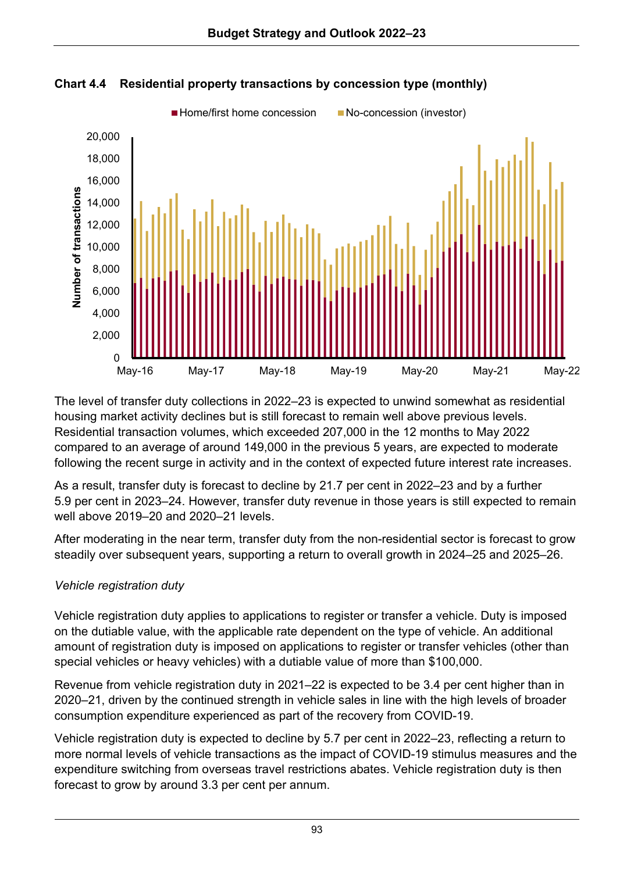



The level of transfer duty collections in 2022–23 is expected to unwind somewhat as residential housing market activity declines but is still forecast to remain well above previous levels. Residential transaction volumes, which exceeded 207,000 in the 12 months to May 2022 compared to an average of around 149,000 in the previous 5 years, are expected to moderate following the recent surge in activity and in the context of expected future interest rate increases.

As a result, transfer duty is forecast to decline by 21.7 per cent in 2022–23 and by a further 5.9 per cent in 2023–24. However, transfer duty revenue in those years is still expected to remain well above 2019–20 and 2020–21 levels.

After moderating in the near term, transfer duty from the non-residential sector is forecast to grow steadily over subsequent years, supporting a return to overall growth in 2024–25 and 2025–26.

## *Vehicle registration duty*

Vehicle registration duty applies to applications to register or transfer a vehicle. Duty is imposed on the dutiable value, with the applicable rate dependent on the type of vehicle. An additional amount of registration duty is imposed on applications to register or transfer vehicles (other than special vehicles or heavy vehicles) with a dutiable value of more than \$100,000.

Revenue from vehicle registration duty in 2021–22 is expected to be 3.4 per cent higher than in 2020–21, driven by the continued strength in vehicle sales in line with the high levels of broader consumption expenditure experienced as part of the recovery from COVID-19.

Vehicle registration duty is expected to decline by 5.7 per cent in 2022–23, reflecting a return to more normal levels of vehicle transactions as the impact of COVID-19 stimulus measures and the expenditure switching from overseas travel restrictions abates. Vehicle registration duty is then forecast to grow by around 3.3 per cent per annum.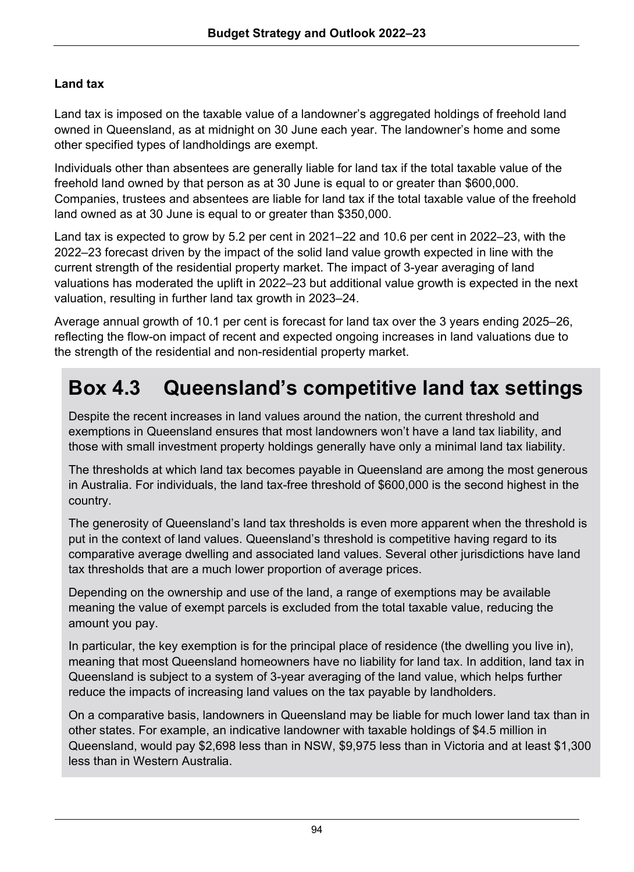## **Land tax**

Land tax is imposed on the taxable value of a landowner's aggregated holdings of freehold land owned in Queensland, as at midnight on 30 June each year. The landowner's home and some other specified types of landholdings are exempt.

Individuals other than absentees are generally liable for land tax if the total taxable value of the freehold land owned by that person as at 30 June is equal to or greater than \$600,000. Companies, trustees and absentees are liable for land tax if the total taxable value of the freehold land owned as at 30 June is equal to or greater than \$350,000.

Land tax is expected to grow by 5.2 per cent in 2021–22 and 10.6 per cent in 2022–23, with the 2022–23 forecast driven by the impact of the solid land value growth expected in line with the current strength of the residential property market. The impact of 3-year averaging of land valuations has moderated the uplift in 2022–23 but additional value growth is expected in the next valuation, resulting in further land tax growth in 2023–24.

Average annual growth of 10.1 per cent is forecast for land tax over the 3 years ending 2025–26, reflecting the flow-on impact of recent and expected ongoing increases in land valuations due to the strength of the residential and non-residential property market.

## **Box 4.3 Queensland's competitive land tax settings**

Despite the recent increases in land values around the nation, the current threshold and exemptions in Queensland ensures that most landowners won't have a land tax liability, and those with small investment property holdings generally have only a minimal land tax liability.

The thresholds at which land tax becomes payable in Queensland are among the most generous in Australia. For individuals, the land tax-free threshold of \$600,000 is the second highest in the country.

The generosity of Queensland's land tax thresholds is even more apparent when the threshold is put in the context of land values. Queensland's threshold is competitive having regard to its comparative average dwelling and associated land values. Several other jurisdictions have land tax thresholds that are a much lower proportion of average prices.

Depending on the ownership and use of the land, a range of exemptions may be available meaning the value of exempt parcels is excluded from the total taxable value, reducing the amount you pay.

In particular, the key exemption is for the principal place of residence (the dwelling you live in), meaning that most Queensland homeowners have no liability for land tax. In addition, land tax in Queensland is subject to a system of 3-year averaging of the land value, which helps further reduce the impacts of increasing land values on the tax payable by landholders.

On a comparative basis, landowners in Queensland may be liable for much lower land tax than in other states. For example, an indicative landowner with taxable holdings of \$4.5 million in Queensland, would pay \$2,698 less than in NSW, \$9,975 less than in Victoria and at least \$1,300 less than in Western Australia.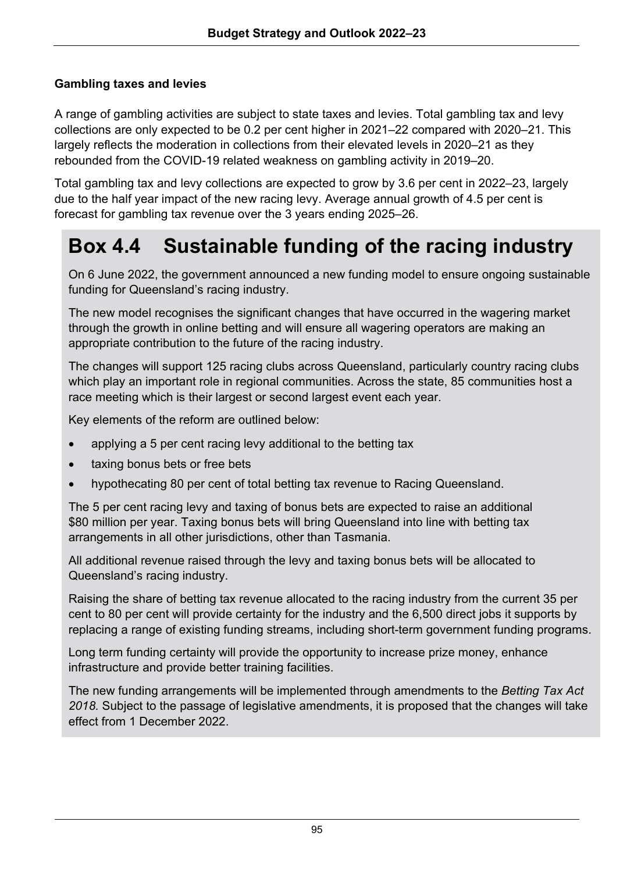## **Gambling taxes and levies**

A range of gambling activities are subject to state taxes and levies. Total gambling tax and levy collections are only expected to be 0.2 per cent higher in 2021–22 compared with 2020–21. This largely reflects the moderation in collections from their elevated levels in 2020–21 as they rebounded from the COVID-19 related weakness on gambling activity in 2019–20.

Total gambling tax and levy collections are expected to grow by 3.6 per cent in 2022–23, largely due to the half year impact of the new racing levy. Average annual growth of 4.5 per cent is forecast for gambling tax revenue over the 3 years ending 2025–26.

## **Box 4.4 Sustainable funding of the racing industry**

On 6 June 2022, the government announced a new funding model to ensure ongoing sustainable funding for Queensland's racing industry.

The new model recognises the significant changes that have occurred in the wagering market through the growth in online betting and will ensure all wagering operators are making an appropriate contribution to the future of the racing industry.

The changes will support 125 racing clubs across Queensland, particularly country racing clubs which play an important role in regional communities. Across the state, 85 communities host a race meeting which is their largest or second largest event each year.

Key elements of the reform are outlined below:

- applying a 5 per cent racing levy additional to the betting tax
- taxing bonus bets or free bets
- hypothecating 80 per cent of total betting tax revenue to Racing Queensland.

The 5 per cent racing levy and taxing of bonus bets are expected to raise an additional \$80 million per year. Taxing bonus bets will bring Queensland into line with betting tax arrangements in all other jurisdictions, other than Tasmania.

All additional revenue raised through the levy and taxing bonus bets will be allocated to Queensland's racing industry.

Raising the share of betting tax revenue allocated to the racing industry from the current 35 per cent to 80 per cent will provide certainty for the industry and the 6,500 direct jobs it supports by replacing a range of existing funding streams, including short-term government funding programs.

Long term funding certainty will provide the opportunity to increase prize money, enhance infrastructure and provide better training facilities.

The new funding arrangements will be implemented through amendments to the *Betting Tax Act 2018.* Subject to the passage of legislative amendments, it is proposed that the changes will take effect from 1 December 2022.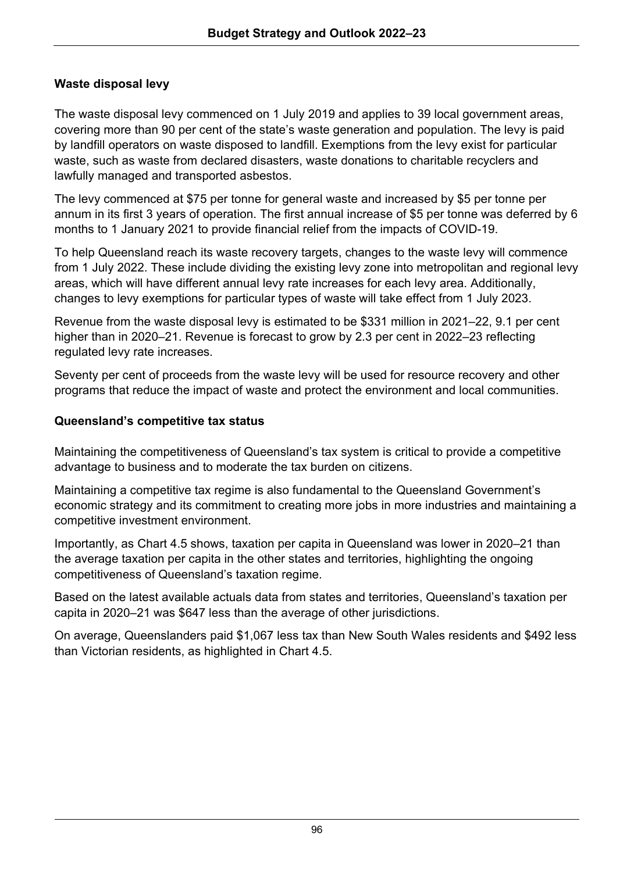## **Waste disposal levy**

The waste disposal levy commenced on 1 July 2019 and applies to 39 local government areas, covering more than 90 per cent of the state's waste generation and population. The levy is paid by landfill operators on waste disposed to landfill. Exemptions from the levy exist for particular waste, such as waste from declared disasters, waste donations to charitable recyclers and lawfully managed and transported asbestos.

The levy commenced at \$75 per tonne for general waste and increased by \$5 per tonne per annum in its first 3 years of operation. The first annual increase of \$5 per tonne was deferred by 6 months to 1 January 2021 to provide financial relief from the impacts of COVID-19.

To help Queensland reach its waste recovery targets, changes to the waste levy will commence from 1 July 2022. These include dividing the existing levy zone into metropolitan and regional levy areas, which will have different annual levy rate increases for each levy area. Additionally, changes to levy exemptions for particular types of waste will take effect from 1 July 2023.

Revenue from the waste disposal levy is estimated to be \$331 million in 2021–22, 9.1 per cent higher than in 2020–21. Revenue is forecast to grow by 2.3 per cent in 2022–23 reflecting regulated levy rate increases.

Seventy per cent of proceeds from the waste levy will be used for resource recovery and other programs that reduce the impact of waste and protect the environment and local communities.

## **Queensland's competitive tax status**

Maintaining the competitiveness of Queensland's tax system is critical to provide a competitive advantage to business and to moderate the tax burden on citizens.

Maintaining a competitive tax regime is also fundamental to the Queensland Government's economic strategy and its commitment to creating more jobs in more industries and maintaining a competitive investment environment.

Importantly, as Chart 4.5 shows, taxation per capita in Queensland was lower in 2020–21 than the average taxation per capita in the other states and territories, highlighting the ongoing competitiveness of Queensland's taxation regime.

Based on the latest available actuals data from states and territories, Queensland's taxation per capita in 2020–21 was \$647 less than the average of other jurisdictions.

On average, Queenslanders paid \$1,067 less tax than New South Wales residents and \$492 less than Victorian residents, as highlighted in Chart 4.5.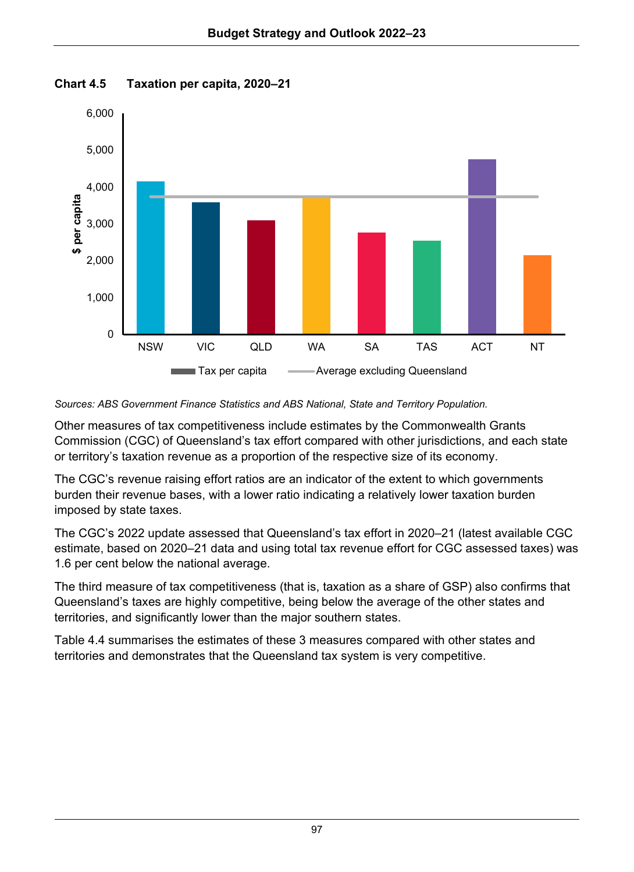



### *Sources: ABS Government Finance Statistics and ABS National, State and Territory Population.*

Other measures of tax competitiveness include estimates by the Commonwealth Grants Commission (CGC) of Queensland's tax effort compared with other jurisdictions, and each state or territory's taxation revenue as a proportion of the respective size of its economy.

The CGC's revenue raising effort ratios are an indicator of the extent to which governments burden their revenue bases, with a lower ratio indicating a relatively lower taxation burden imposed by state taxes.

The CGC's 2022 update assessed that Queensland's tax effort in 2020–21 (latest available CGC estimate, based on 2020–21 data and using total tax revenue effort for CGC assessed taxes) was 1.6 per cent below the national average.

The third measure of tax competitiveness (that is, taxation as a share of GSP) also confirms that Queensland's taxes are highly competitive, being below the average of the other states and territories, and significantly lower than the major southern states.

Table 4.4 summarises the estimates of these 3 measures compared with other states and territories and demonstrates that the Queensland tax system is very competitive.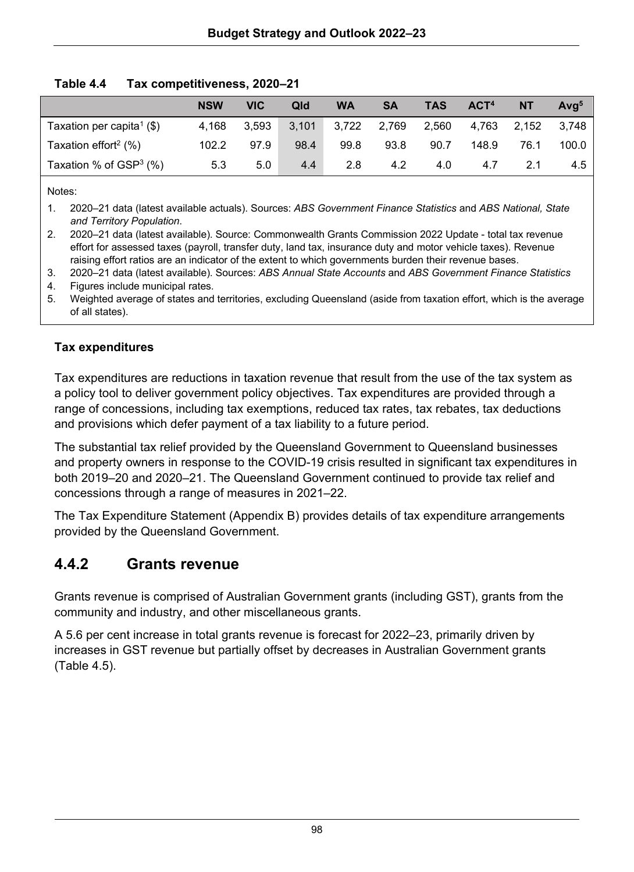|                                       | <b>NSW</b> | <b>VIC</b> | Qld  | <b>WA</b>                           | SA   | <b>TAS</b> | ACT <sup>4</sup> | <b>NT</b> | Ava <sup>5</sup> |
|---------------------------------------|------------|------------|------|-------------------------------------|------|------------|------------------|-----------|------------------|
| Taxation per capita <sup>1</sup> (\$) | 4.168      | 3.593      |      | 3,101 3,722 2,769 2,560 4,763 2,152 |      |            |                  |           | 3.748            |
| Taxation effort <sup>2</sup> (%)      | 102.2      | 97.9       | 98.4 | 99.8                                | 93.8 | 90.7       | 148.9            | 76.1      | 100.0            |
| Taxation % of $GSP3$ (%)              | 5.3        | 5.0        | 4.4  | 2.8                                 | 4.2  | 4.0        | 4.7              | 21        | 4.5              |

### **Table 4.4 Tax competitiveness, 2020–21**

Notes:

1. 2020–21 data (latest available actuals). Sources: *ABS Government Finance Statistics* and *ABS National, State and Territory Population*.

2. 2020–21 data (latest available). Source: Commonwealth Grants Commission 2022 Update - total tax revenue effort for assessed taxes (payroll, transfer duty, land tax, insurance duty and motor vehicle taxes). Revenue raising effort ratios are an indicator of the extent to which governments burden their revenue bases.

3. 2020–21 data (latest available). Sources: *ABS Annual State Accounts* and *ABS Government Finance Statistics* 

4. Figures include municipal rates.<br>5. Weighted average of states and Weighted average of states and territories, excluding Queensland (aside from taxation effort, which is the average of all states).

## **Tax expenditures**

Tax expenditures are reductions in taxation revenue that result from the use of the tax system as a policy tool to deliver government policy objectives. Tax expenditures are provided through a range of concessions, including tax exemptions, reduced tax rates, tax rebates, tax deductions and provisions which defer payment of a tax liability to a future period.

The substantial tax relief provided by the Queensland Government to Queensland businesses and property owners in response to the COVID-19 crisis resulted in significant tax expenditures in both 2019–20 and 2020–21. The Queensland Government continued to provide tax relief and concessions through a range of measures in 2021–22.

The Tax Expenditure Statement (Appendix B) provides details of tax expenditure arrangements provided by the Queensland Government.

## **4.4.2 Grants revenue**

Grants revenue is comprised of Australian Government grants (including GST), grants from the community and industry, and other miscellaneous grants.

A 5.6 per cent increase in total grants revenue is forecast for 2022–23, primarily driven by increases in GST revenue but partially offset by decreases in Australian Government grants (Table 4.5).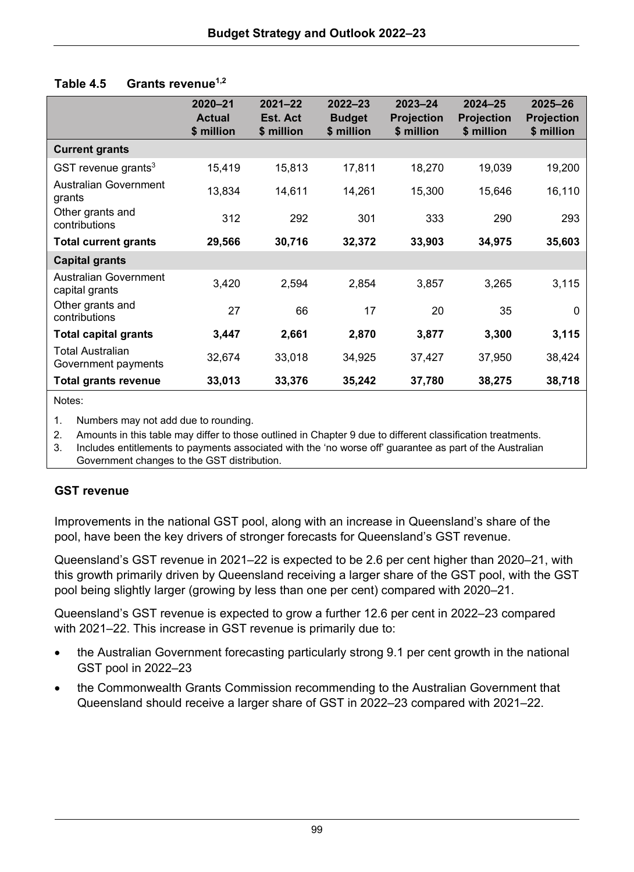| Table 4.5 |  | Grants revenue <sup>1,2</sup> |
|-----------|--|-------------------------------|
|-----------|--|-------------------------------|

|                                         | $2020 - 21$<br><b>Actual</b><br>\$ million | $2021 - 22$<br>Est. Act<br>\$ million | $2022 - 23$<br><b>Budget</b><br>\$ million | $2023 - 24$<br><b>Projection</b><br>\$ million | $2024 - 25$<br><b>Projection</b><br>\$ million | $2025 - 26$<br><b>Projection</b><br>\$ million |
|-----------------------------------------|--------------------------------------------|---------------------------------------|--------------------------------------------|------------------------------------------------|------------------------------------------------|------------------------------------------------|
| <b>Current grants</b>                   |                                            |                                       |                                            |                                                |                                                |                                                |
| GST revenue grants $3$                  | 15,419                                     | 15,813                                | 17.811                                     | 18,270                                         | 19,039                                         | 19,200                                         |
| Australian Government<br>grants         | 13,834                                     | 14,611                                | 14,261                                     | 15,300                                         | 15,646                                         | 16,110                                         |
| Other grants and<br>contributions       | 312                                        | 292                                   | 301                                        | 333                                            | 290                                            | 293                                            |
| <b>Total current grants</b>             | 29,566                                     | 30,716                                | 32,372                                     | 33,903                                         | 34,975                                         | 35,603                                         |
| Capital grants                          |                                            |                                       |                                            |                                                |                                                |                                                |
| Australian Government<br>capital grants | 3.420                                      | 2,594                                 | 2,854                                      | 3,857                                          | 3,265                                          | 3,115                                          |
| Other grants and<br>contributions       | 27                                         | 66                                    | 17                                         | 20                                             | 35                                             | 0                                              |
| <b>Total capital grants</b>             | 3,447                                      | 2,661                                 | 2,870                                      | 3,877                                          | 3,300                                          | 3,115                                          |
| Total Australian<br>Government payments | 32,674                                     | 33,018                                | 34,925                                     | 37,427                                         | 37,950                                         | 38,424                                         |
| Total grants revenue                    | 33,013                                     | 33,376                                | 35,242                                     | 37,780                                         | 38,275                                         | 38,718                                         |

Notes:

1. Numbers may not add due to rounding.

2. Amounts in this table may differ to those outlined in Chapter 9 due to different classification treatments.

3. Includes entitlements to payments associated with the 'no worse off' guarantee as part of the Australian

Government changes to the GST distribution.

### **GST revenue**

Improvements in the national GST pool, along with an increase in Queensland's share of the pool, have been the key drivers of stronger forecasts for Queensland's GST revenue.

Queensland's GST revenue in 2021–22 is expected to be 2.6 per cent higher than 2020–21, with this growth primarily driven by Queensland receiving a larger share of the GST pool, with the GST pool being slightly larger (growing by less than one per cent) compared with 2020–21.

Queensland's GST revenue is expected to grow a further 12.6 per cent in 2022–23 compared with 2021–22. This increase in GST revenue is primarily due to:

- the Australian Government forecasting particularly strong 9.1 per cent growth in the national GST pool in 2022–23
- the Commonwealth Grants Commission recommending to the Australian Government that Queensland should receive a larger share of GST in 2022–23 compared with 2021–22.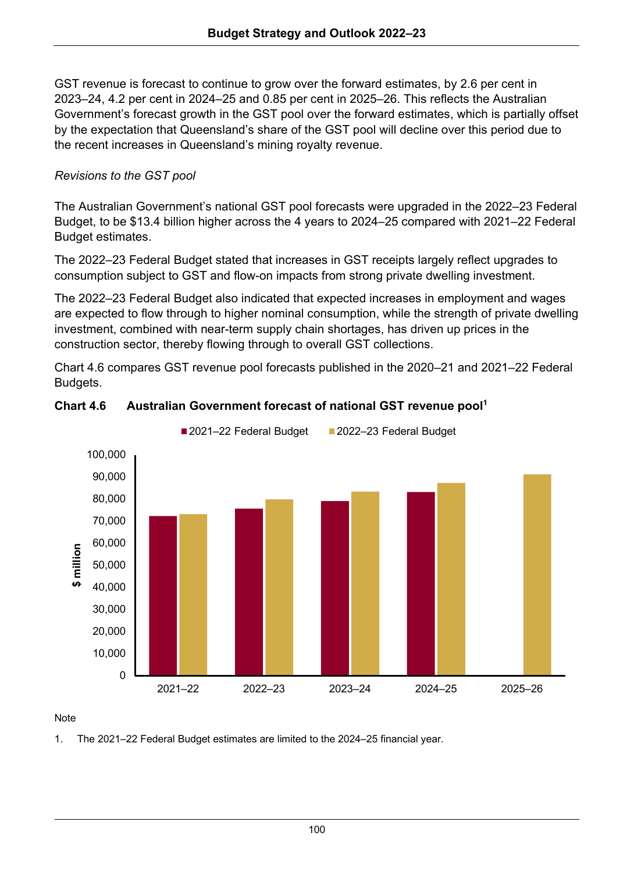GST revenue is forecast to continue to grow over the forward estimates, by 2.6 per cent in 2023–24, 4.2 per cent in 2024–25 and 0.85 per cent in 2025–26. This reflects the Australian Government's forecast growth in the GST pool over the forward estimates, which is partially offset by the expectation that Queensland's share of the GST pool will decline over this period due to the recent increases in Queensland's mining royalty revenue.

## *Revisions to the GST pool*

The Australian Government's national GST pool forecasts were upgraded in the 2022–23 Federal Budget, to be \$13.4 billion higher across the 4 years to 2024–25 compared with 2021–22 Federal Budget estimates.

The 2022–23 Federal Budget stated that increases in GST receipts largely reflect upgrades to consumption subject to GST and flow-on impacts from strong private dwelling investment.

The 2022–23 Federal Budget also indicated that expected increases in employment and wages are expected to flow through to higher nominal consumption, while the strength of private dwelling investment, combined with near-term supply chain shortages, has driven up prices in the construction sector, thereby flowing through to overall GST collections.

Chart 4.6 compares GST revenue pool forecasts published in the 2020–21 and 2021–22 Federal Budgets.



## **Chart 4.6** Australian Government forecast of national GST revenue pool<sup>1</sup>

#### Note

1. The 2021–22 Federal Budget estimates are limited to the 2024–25 financial year.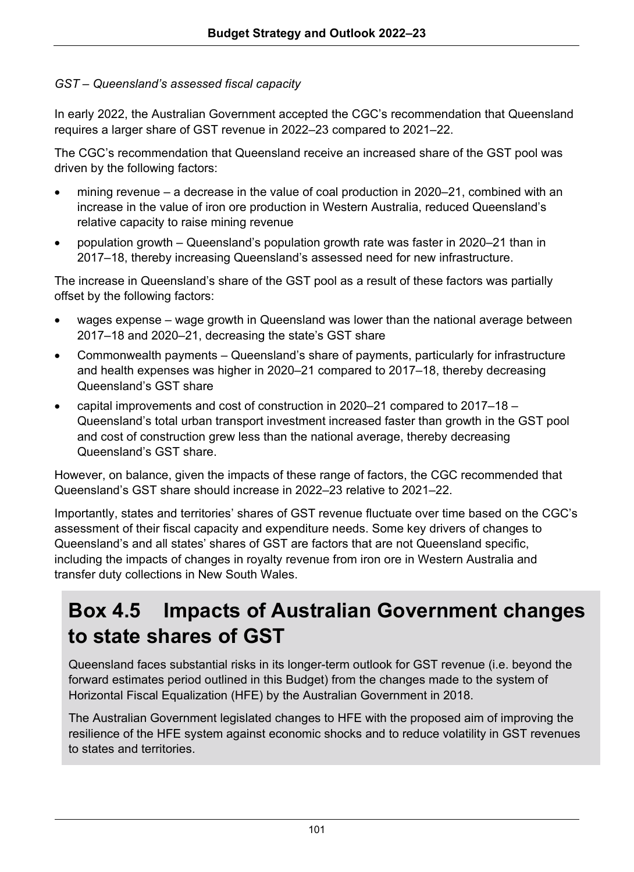## *GST – Queensland's assessed fiscal capacity*

In early 2022, the Australian Government accepted the CGC's recommendation that Queensland requires a larger share of GST revenue in 2022–23 compared to 2021–22.

The CGC's recommendation that Queensland receive an increased share of the GST pool was driven by the following factors:

- mining revenue a decrease in the value of coal production in 2020–21, combined with an increase in the value of iron ore production in Western Australia, reduced Queensland's relative capacity to raise mining revenue
- population growth Queensland's population growth rate was faster in 2020–21 than in 2017–18, thereby increasing Queensland's assessed need for new infrastructure.

The increase in Queensland's share of the GST pool as a result of these factors was partially offset by the following factors:

- wages expense wage growth in Queensland was lower than the national average between 2017–18 and 2020–21, decreasing the state's GST share
- Commonwealth payments Queensland's share of payments, particularly for infrastructure and health expenses was higher in 2020–21 compared to 2017–18, thereby decreasing Queensland's GST share
- capital improvements and cost of construction in 2020–21 compared to 2017–18 Queensland's total urban transport investment increased faster than growth in the GST pool and cost of construction grew less than the national average, thereby decreasing Queensland's GST share.

However, on balance, given the impacts of these range of factors, the CGC recommended that Queensland's GST share should increase in 2022–23 relative to 2021–22.

Importantly, states and territories' shares of GST revenue fluctuate over time based on the CGC's assessment of their fiscal capacity and expenditure needs. Some key drivers of changes to Queensland's and all states' shares of GST are factors that are not Queensland specific, including the impacts of changes in royalty revenue from iron ore in Western Australia and transfer duty collections in New South Wales.

## **Box 4.5 Impacts of Australian Government changes to state shares of GST**

Queensland faces substantial risks in its longer-term outlook for GST revenue (i.e. beyond the forward estimates period outlined in this Budget) from the changes made to the system of Horizontal Fiscal Equalization (HFE) by the Australian Government in 2018.

The Australian Government legislated changes to HFE with the proposed aim of improving the resilience of the HFE system against economic shocks and to reduce volatility in GST revenues to states and territories.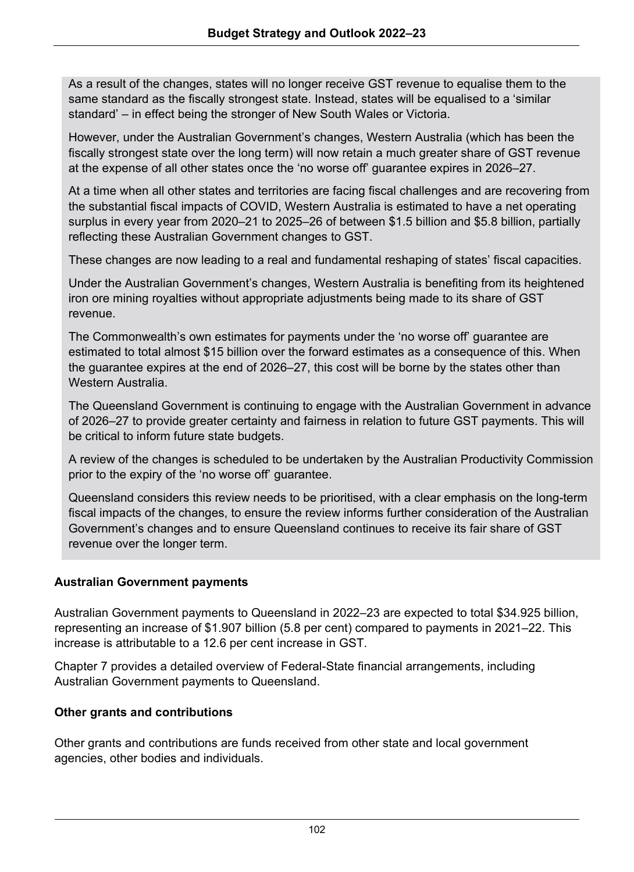As a result of the changes, states will no longer receive GST revenue to equalise them to the same standard as the fiscally strongest state. Instead, states will be equalised to a 'similar standard' – in effect being the stronger of New South Wales or Victoria.

However, under the Australian Government's changes, Western Australia (which has been the fiscally strongest state over the long term) will now retain a much greater share of GST revenue at the expense of all other states once the 'no worse off' guarantee expires in 2026–27.

At a time when all other states and territories are facing fiscal challenges and are recovering from the substantial fiscal impacts of COVID, Western Australia is estimated to have a net operating surplus in every year from 2020–21 to 2025–26 of between \$1.5 billion and \$5.8 billion, partially reflecting these Australian Government changes to GST.

These changes are now leading to a real and fundamental reshaping of states' fiscal capacities.

Under the Australian Government's changes, Western Australia is benefiting from its heightened iron ore mining royalties without appropriate adjustments being made to its share of GST revenue.

The Commonwealth's own estimates for payments under the 'no worse off' guarantee are estimated to total almost \$15 billion over the forward estimates as a consequence of this. When the guarantee expires at the end of 2026–27, this cost will be borne by the states other than Western Australia.

The Queensland Government is continuing to engage with the Australian Government in advance of 2026–27 to provide greater certainty and fairness in relation to future GST payments. This will be critical to inform future state budgets.

A review of the changes is scheduled to be undertaken by the Australian Productivity Commission prior to the expiry of the 'no worse off' guarantee.

Queensland considers this review needs to be prioritised, with a clear emphasis on the long-term fiscal impacts of the changes, to ensure the review informs further consideration of the Australian Government's changes and to ensure Queensland continues to receive its fair share of GST revenue over the longer term.

## **Australian Government payments**

Australian Government payments to Queensland in 2022–23 are expected to total \$34.925 billion, representing an increase of \$1.907 billion (5.8 per cent) compared to payments in 2021–22. This increase is attributable to a 12.6 per cent increase in GST.

Chapter 7 provides a detailed overview of Federal-State financial arrangements, including Australian Government payments to Queensland.

## **Other grants and contributions**

Other grants and contributions are funds received from other state and local government agencies, other bodies and individuals.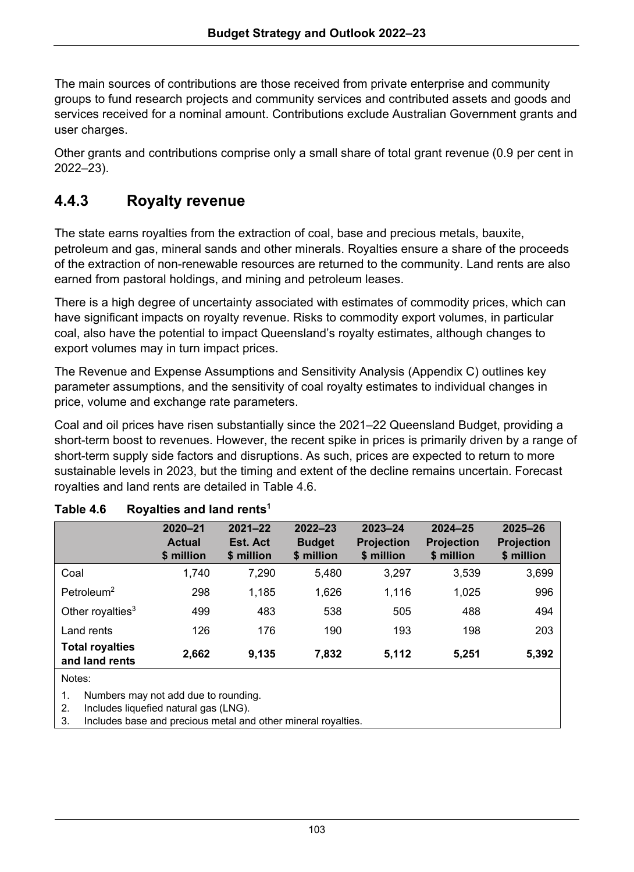The main sources of contributions are those received from private enterprise and community groups to fund research projects and community services and contributed assets and goods and services received for a nominal amount. Contributions exclude Australian Government grants and user charges.

Other grants and contributions comprise only a small share of total grant revenue (0.9 per cent in 2022–23).

## **4.4.3 Royalty revenue**

The state earns royalties from the extraction of coal, base and precious metals, bauxite, petroleum and gas, mineral sands and other minerals. Royalties ensure a share of the proceeds of the extraction of non-renewable resources are returned to the community. Land rents are also earned from pastoral holdings, and mining and petroleum leases.

There is a high degree of uncertainty associated with estimates of commodity prices, which can have significant impacts on royalty revenue. Risks to commodity export volumes, in particular coal, also have the potential to impact Queensland's royalty estimates, although changes to export volumes may in turn impact prices.

The Revenue and Expense Assumptions and Sensitivity Analysis (Appendix C) outlines key parameter assumptions, and the sensitivity of coal royalty estimates to individual changes in price, volume and exchange rate parameters.

Coal and oil prices have risen substantially since the 2021–22 Queensland Budget, providing a short-term boost to revenues. However, the recent spike in prices is primarily driven by a range of short-term supply side factors and disruptions. As such, prices are expected to return to more sustainable levels in 2023, but the timing and extent of the decline remains uncertain. Forecast royalties and land rents are detailed in Table 4.6.

|       | \$ million | \$ million | \$ million | <b>Projection</b><br>\$ million | <b>Projection</b><br>\$ million |
|-------|------------|------------|------------|---------------------------------|---------------------------------|
| 1.740 | 7.290      | 5,480      | 3,297      | 3,539                           | 3,699                           |
| 298   | 1.185      | 1.626      | 1.116      | 1.025                           | 996                             |
| 499   | 483        | 538        | 505        | 488                             | 494                             |
| 126   | 176        | 190        | 193        | 198                             | 203                             |
| 2,662 | 9,135      | 7.832      | 5,112      | 5.251                           | 5,392                           |
|       | \$ million |            |            |                                 |                                 |

| Table 4.6 | Royalties and land rents <sup>1</sup> |  |  |
|-----------|---------------------------------------|--|--|
|           |                                       |  |  |

Notes:

1. Numbers may not add due to rounding.

2. Includes liquefied natural gas (LNG).

3. Includes base and precious metal and other mineral royalties.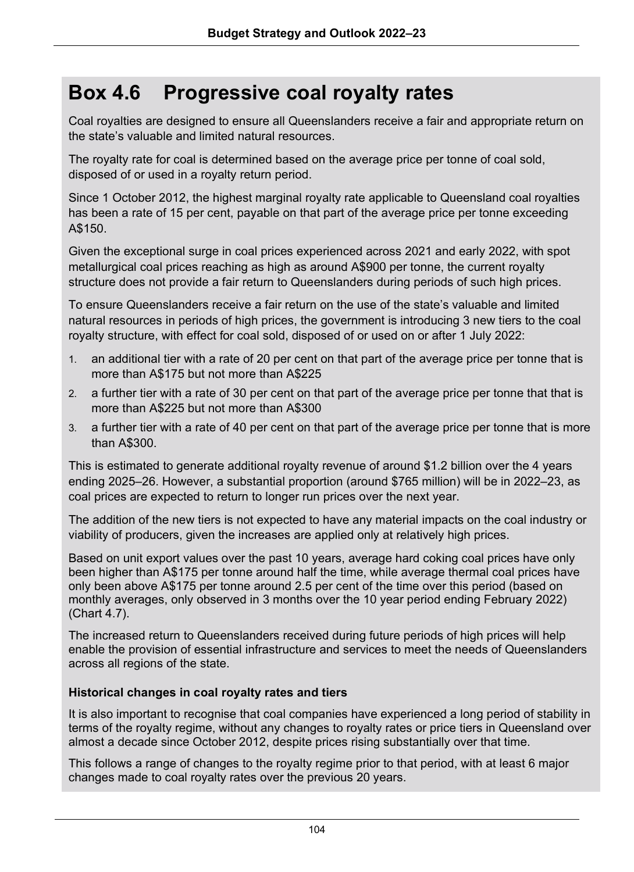## **Box 4.6 Progressive coal royalty rates**

Coal royalties are designed to ensure all Queenslanders receive a fair and appropriate return on the state's valuable and limited natural resources.

The royalty rate for coal is determined based on the average price per tonne of coal sold, disposed of or used in a royalty return period.

Since 1 October 2012, the highest marginal royalty rate applicable to Queensland coal royalties has been a rate of 15 per cent, payable on that part of the average price per tonne exceeding A\$150.

Given the exceptional surge in coal prices experienced across 2021 and early 2022, with spot metallurgical coal prices reaching as high as around A\$900 per tonne, the current royalty structure does not provide a fair return to Queenslanders during periods of such high prices.

To ensure Queenslanders receive a fair return on the use of the state's valuable and limited natural resources in periods of high prices, the government is introducing 3 new tiers to the coal royalty structure, with effect for coal sold, disposed of or used on or after 1 July 2022:

- 1. an additional tier with a rate of 20 per cent on that part of the average price per tonne that is more than A\$175 but not more than A\$225
- 2. a further tier with a rate of 30 per cent on that part of the average price per tonne that that is more than A\$225 but not more than A\$300
- 3. a further tier with a rate of 40 per cent on that part of the average price per tonne that is more than A\$300.

This is estimated to generate additional royalty revenue of around \$1.2 billion over the 4 years ending 2025–26. However, a substantial proportion (around \$765 million) will be in 2022–23, as coal prices are expected to return to longer run prices over the next year.

The addition of the new tiers is not expected to have any material impacts on the coal industry or viability of producers, given the increases are applied only at relatively high prices.

Based on unit export values over the past 10 years, average hard coking coal prices have only been higher than A\$175 per tonne around half the time, while average thermal coal prices have only been above A\$175 per tonne around 2.5 per cent of the time over this period (based on monthly averages, only observed in 3 months over the 10 year period ending February 2022) (Chart 4.7).

The increased return to Queenslanders received during future periods of high prices will help enable the provision of essential infrastructure and services to meet the needs of Queenslanders across all regions of the state.

## **Historical changes in coal royalty rates and tiers**

It is also important to recognise that coal companies have experienced a long period of stability in terms of the royalty regime, without any changes to royalty rates or price tiers in Queensland over almost a decade since October 2012, despite prices rising substantially over that time.

This follows a range of changes to the royalty regime prior to that period, with at least 6 major changes made to coal royalty rates over the previous 20 years.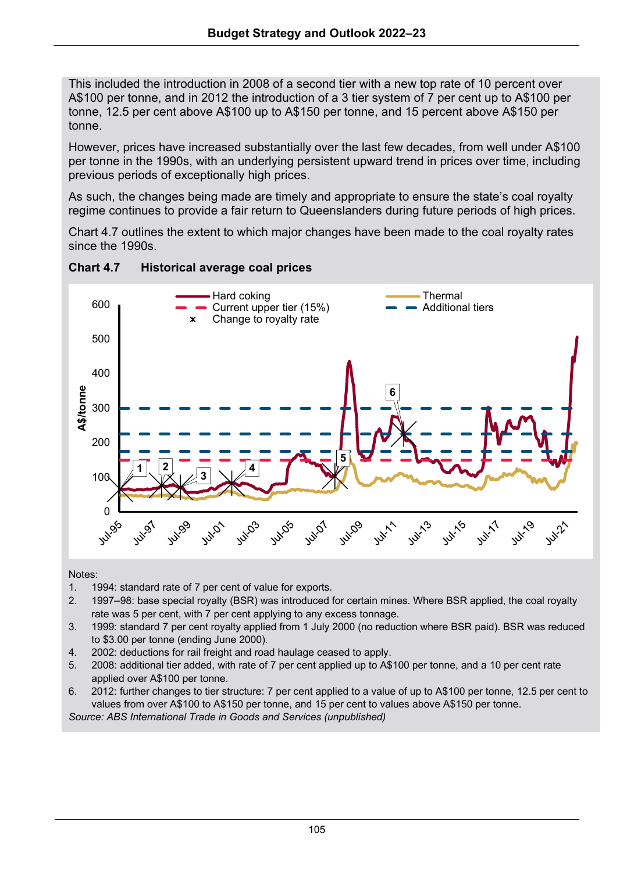This included the introduction in 2008 of a second tier with a new top rate of 10 percent over A\$100 per tonne, and in 2012 the introduction of a 3 tier system of 7 per cent up to A\$100 per tonne, 12.5 per cent above A\$100 up to A\$150 per tonne, and 15 percent above A\$150 per tonne.

However, prices have increased substantially over the last few decades, from well under A\$100 per tonne in the 1990s, with an underlying persistent upward trend in prices over time, including previous periods of exceptionally high prices.

As such, the changes being made are timely and appropriate to ensure the state's coal royalty regime continues to provide a fair return to Queenslanders during future periods of high prices.

Chart 4.7 outlines the extent to which major changes have been made to the coal royalty rates since the 1990s.



## **Chart 4.7 Historical average coal prices**

Notes:

- 1. 1994: standard rate of 7 per cent of value for exports.
- 2. 1997–98: base special royalty (BSR) was introduced for certain mines. Where BSR applied, the coal royalty rate was 5 per cent, with 7 per cent applying to any excess tonnage.
- 3. 1999: standard 7 per cent royalty applied from 1 July 2000 (no reduction where BSR paid). BSR was reduced to \$3.00 per tonne (ending June 2000).
- 4. 2002: deductions for rail freight and road haulage ceased to apply.
- 5. 2008: additional tier added, with rate of 7 per cent applied up to A\$100 per tonne, and a 10 per cent rate applied over A\$100 per tonne.
- 6. 2012: further changes to tier structure: 7 per cent applied to a value of up to A\$100 per tonne, 12.5 per cent to values from over A\$100 to A\$150 per tonne, and 15 per cent to values above A\$150 per tonne.

*Source: ABS International Trade in Goods and Services (unpublished)*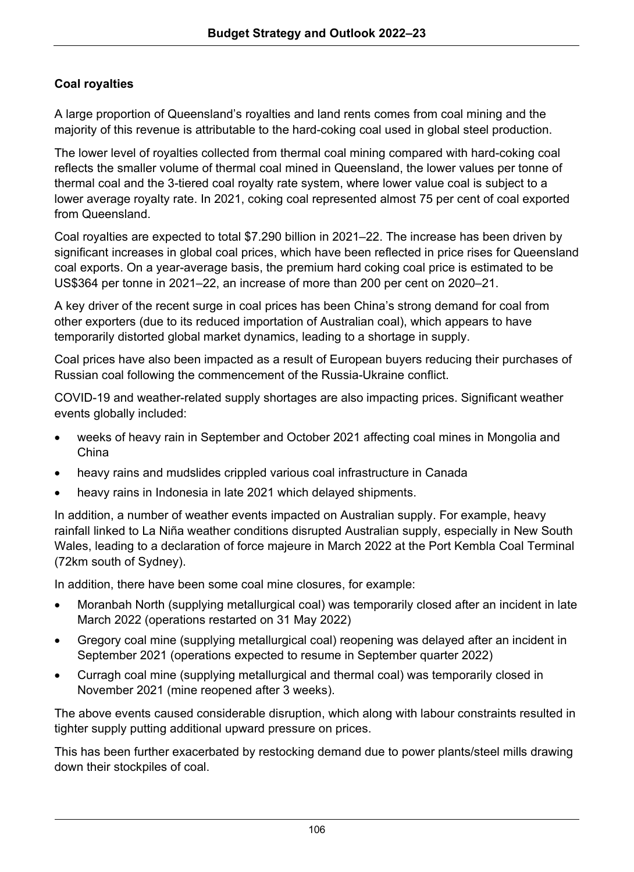## **Coal royalties**

A large proportion of Queensland's royalties and land rents comes from coal mining and the majority of this revenue is attributable to the hard-coking coal used in global steel production.

The lower level of royalties collected from thermal coal mining compared with hard-coking coal reflects the smaller volume of thermal coal mined in Queensland, the lower values per tonne of thermal coal and the 3-tiered coal royalty rate system, where lower value coal is subject to a lower average royalty rate. In 2021, coking coal represented almost 75 per cent of coal exported from Queensland.

Coal royalties are expected to total \$7.290 billion in 2021–22. The increase has been driven by significant increases in global coal prices, which have been reflected in price rises for Queensland coal exports. On a year-average basis, the premium hard coking coal price is estimated to be US\$364 per tonne in 2021–22, an increase of more than 200 per cent on 2020–21.

A key driver of the recent surge in coal prices has been China's strong demand for coal from other exporters (due to its reduced importation of Australian coal), which appears to have temporarily distorted global market dynamics, leading to a shortage in supply.

Coal prices have also been impacted as a result of European buyers reducing their purchases of Russian coal following the commencement of the Russia-Ukraine conflict.

COVID-19 and weather-related supply shortages are also impacting prices. Significant weather events globally included:

- weeks of heavy rain in September and October 2021 affecting coal mines in Mongolia and China
- heavy rains and mudslides crippled various coal infrastructure in Canada
- heavy rains in Indonesia in late 2021 which delayed shipments.

In addition, a number of weather events impacted on Australian supply. For example, heavy rainfall linked to La Niña weather conditions disrupted Australian supply, especially in New South Wales, leading to a declaration of force majeure in March 2022 at the Port Kembla Coal Terminal (72km south of Sydney).

In addition, there have been some coal mine closures, for example:

- Moranbah North (supplying metallurgical coal) was temporarily closed after an incident in late March 2022 (operations restarted on 31 May 2022)
- Gregory coal mine (supplying metallurgical coal) reopening was delayed after an incident in September 2021 (operations expected to resume in September quarter 2022)
- Curragh coal mine (supplying metallurgical and thermal coal) was temporarily closed in November 2021 (mine reopened after 3 weeks).

The above events caused considerable disruption, which along with labour constraints resulted in tighter supply putting additional upward pressure on prices.

This has been further exacerbated by restocking demand due to power plants/steel mills drawing down their stockpiles of coal.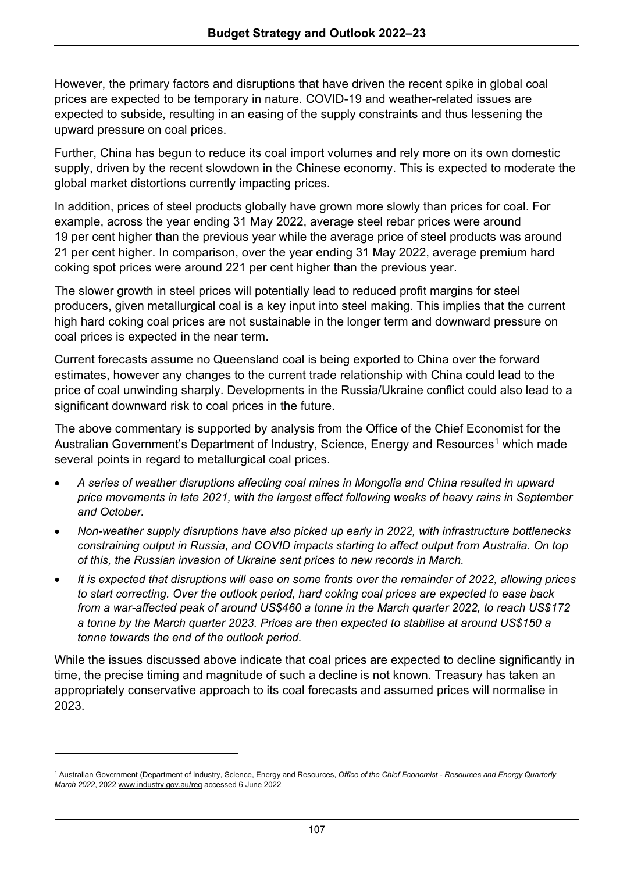However, the primary factors and disruptions that have driven the recent spike in global coal prices are expected to be temporary in nature. COVID-19 and weather-related issues are expected to subside, resulting in an easing of the supply constraints and thus lessening the upward pressure on coal prices.

Further, China has begun to reduce its coal import volumes and rely more on its own domestic supply, driven by the recent slowdown in the Chinese economy. This is expected to moderate the global market distortions currently impacting prices.

In addition, prices of steel products globally have grown more slowly than prices for coal. For example, across the year ending 31 May 2022, average steel rebar prices were around 19 per cent higher than the previous year while the average price of steel products was around 21 per cent higher. In comparison, over the year ending 31 May 2022, average premium hard coking spot prices were around 221 per cent higher than the previous year.

The slower growth in steel prices will potentially lead to reduced profit margins for steel producers, given metallurgical coal is a key input into steel making. This implies that the current high hard coking coal prices are not sustainable in the longer term and downward pressure on coal prices is expected in the near term.

Current forecasts assume no Queensland coal is being exported to China over the forward estimates, however any changes to the current trade relationship with China could lead to the price of coal unwinding sharply. Developments in the Russia/Ukraine conflict could also lead to a significant downward risk to coal prices in the future.

The above commentary is supported by analysis from the Office of the Chief Economist for the Australian Government's Department of Industry, Science, Energy and Resources<sup>[1](#page-27-0)</sup> which made several points in regard to metallurgical coal prices.

- *A series of weather disruptions affecting coal mines in Mongolia and China resulted in upward price movements in late 2021, with the largest effect following weeks of heavy rains in September and October.*
- *Non-weather supply disruptions have also picked up early in 2022, with infrastructure bottlenecks constraining output in Russia, and COVID impacts starting to affect output from Australia. On top of this, the Russian invasion of Ukraine sent prices to new records in March.*
- *It is expected that disruptions will ease on some fronts over the remainder of 2022, allowing prices to start correcting. Over the outlook period, hard coking coal prices are expected to ease back from a war-affected peak of around US\$460 a tonne in the March quarter 2022, to reach US\$172 a tonne by the March quarter 2023. Prices are then expected to stabilise at around US\$150 a tonne towards the end of the outlook period.*

While the issues discussed above indicate that coal prices are expected to decline significantly in time, the precise timing and magnitude of such a decline is not known. Treasury has taken an appropriately conservative approach to its coal forecasts and assumed prices will normalise in 2023.

<span id="page-27-0"></span><sup>1</sup> Australian Government (Department of Industry, Science, Energy and Resources, *Office of the Chief Economist - Resources and Energy Quarterly March 2022*, 202[2 www.industry.gov.au/req](http://www.industry.gov.au/req) accessed 6 June 2022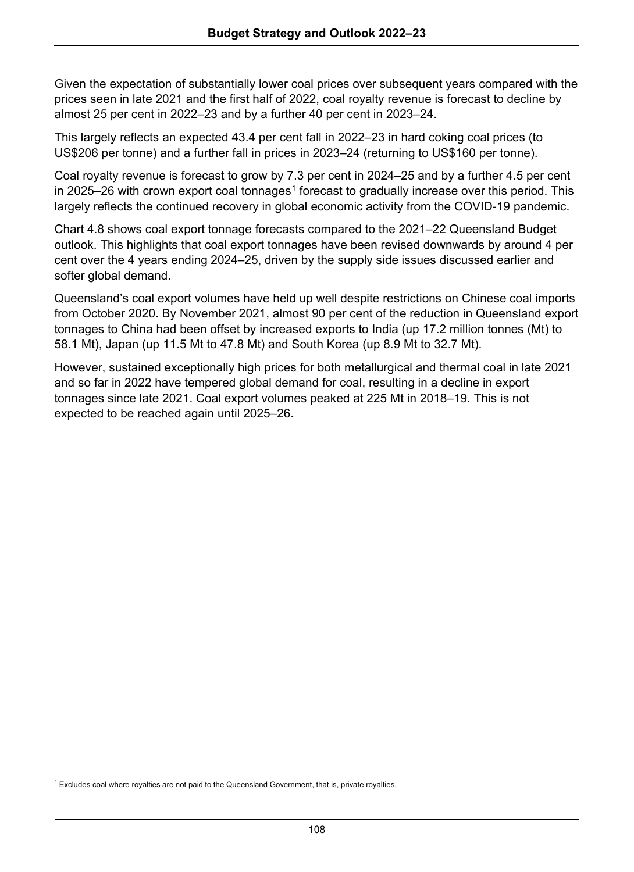Given the expectation of substantially lower coal prices over subsequent years compared with the prices seen in late 2021 and the first half of 2022, coal royalty revenue is forecast to decline by almost 25 per cent in 2022–23 and by a further 40 per cent in 2023–24.

This largely reflects an expected 43.4 per cent fall in 2022–23 in hard coking coal prices (to US\$206 per tonne) and a further fall in prices in 2023–24 (returning to US\$160 per tonne).

Coal royalty revenue is forecast to grow by 7.3 per cent in 2024–25 and by a further 4.5 per cent in 2025–26 with crown export coal tonnages<sup>1</sup> forecast to gradually increase over this period. This largely reflects the continued recovery in global economic activity from the COVID-19 pandemic.

Chart 4.8 shows coal export tonnage forecasts compared to the 2021–22 Queensland Budget outlook. This highlights that coal export tonnages have been revised downwards by around 4 per cent over the 4 years ending 2024–25, driven by the supply side issues discussed earlier and softer global demand.

Queensland's coal export volumes have held up well despite restrictions on Chinese coal imports from October 2020. By November 2021, almost 90 per cent of the reduction in Queensland export tonnages to China had been offset by increased exports to India (up 17.2 million tonnes (Mt) to 58.1 Mt), Japan (up 11.5 Mt to 47.8 Mt) and South Korea (up 8.9 Mt to 32.7 Mt).

However, sustained exceptionally high prices for both metallurgical and thermal coal in late 2021 and so far in 2022 have tempered global demand for coal, resulting in a decline in export tonnages since late 2021. Coal export volumes peaked at 225 Mt in 2018–19. This is not expected to be reached again until 2025–26.

<span id="page-28-0"></span> $1$  Excludes coal where royalties are not paid to the Queensland Government, that is, private royalties.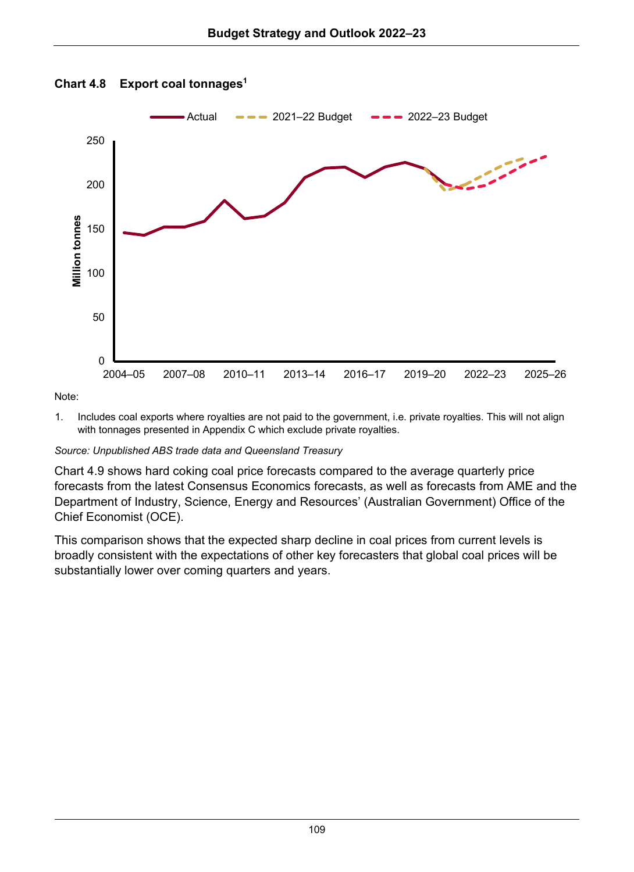

### **Chart 4.8 Export coal tonnages1**

Note:

1. Includes coal exports where royalties are not paid to the government, i.e. private royalties. This will not align with tonnages presented in Appendix C which exclude private royalties.

### *Source: Unpublished ABS trade data and Queensland Treasury*

Chart 4.9 shows hard coking coal price forecasts compared to the average quarterly price forecasts from the latest Consensus Economics forecasts, as well as forecasts from AME and the Department of Industry, Science, Energy and Resources' (Australian Government) Office of the Chief Economist (OCE).

This comparison shows that the expected sharp decline in coal prices from current levels is broadly consistent with the expectations of other key forecasters that global coal prices will be substantially lower over coming quarters and years.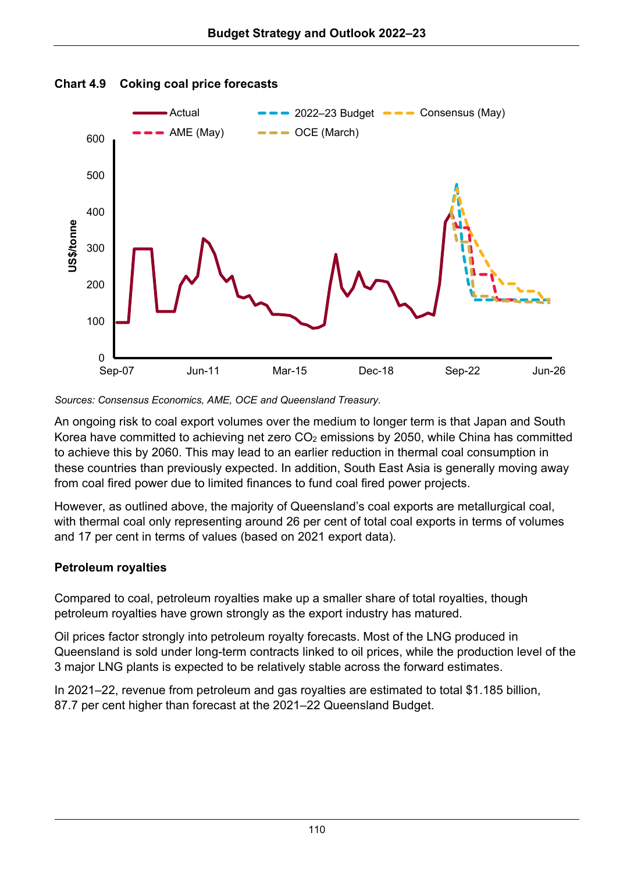

### **Chart 4.9 Coking coal price forecasts**

*Sources: Consensus Economics, AME, OCE and Queensland Treasury.*

An ongoing risk to coal export volumes over the medium to longer term is that Japan and South Korea have committed to achieving net zero  $CO<sub>2</sub>$  emissions by 2050, while China has committed to achieve this by 2060. This may lead to an earlier reduction in thermal coal consumption in these countries than previously expected. In addition, South East Asia is generally moving away from coal fired power due to limited finances to fund coal fired power projects.

However, as outlined above, the majority of Queensland's coal exports are metallurgical coal, with thermal coal only representing around 26 per cent of total coal exports in terms of volumes and 17 per cent in terms of values (based on 2021 export data).

## **Petroleum royalties**

Compared to coal, petroleum royalties make up a smaller share of total royalties, though petroleum royalties have grown strongly as the export industry has matured.

Oil prices factor strongly into petroleum royalty forecasts. Most of the LNG produced in Queensland is sold under long-term contracts linked to oil prices, while the production level of the 3 major LNG plants is expected to be relatively stable across the forward estimates.

In 2021–22, revenue from petroleum and gas royalties are estimated to total \$1.185 billion, 87.7 per cent higher than forecast at the 2021–22 Queensland Budget.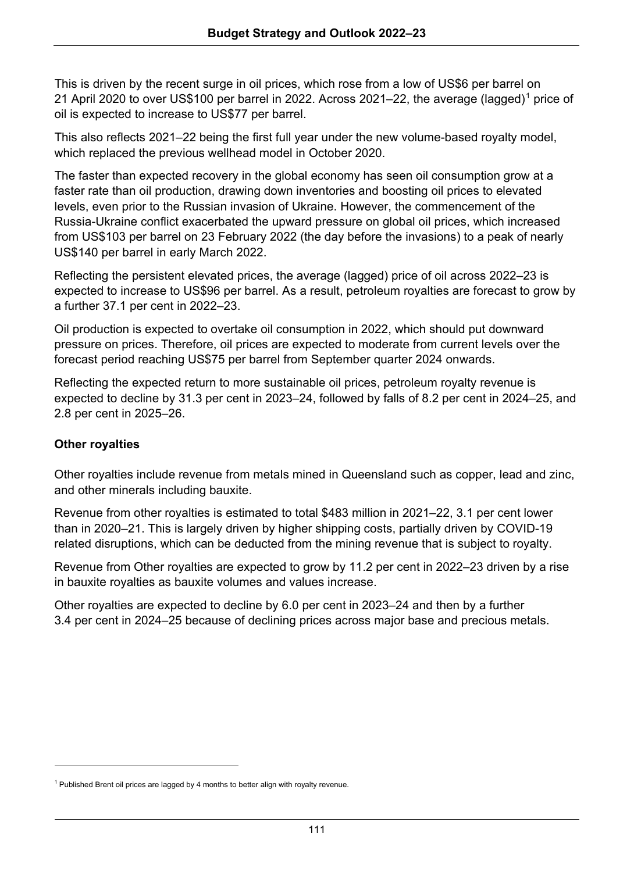This is driven by the recent surge in oil prices, which rose from a low of US\$6 per barrel on 21 April 2020 to over US\$100 per barrel in 2022. Across 2021–22, the average (lagged)[1](#page-31-0) price of oil is expected to increase to US\$77 per barrel.

This also reflects 2021–22 being the first full year under the new volume-based royalty model, which replaced the previous wellhead model in October 2020.

The faster than expected recovery in the global economy has seen oil consumption grow at a faster rate than oil production, drawing down inventories and boosting oil prices to elevated levels, even prior to the Russian invasion of Ukraine. However, the commencement of the Russia-Ukraine conflict exacerbated the upward pressure on global oil prices, which increased from US\$103 per barrel on 23 February 2022 (the day before the invasions) to a peak of nearly US\$140 per barrel in early March 2022.

Reflecting the persistent elevated prices, the average (lagged) price of oil across 2022–23 is expected to increase to US\$96 per barrel. As a result, petroleum royalties are forecast to grow by a further 37.1 per cent in 2022–23.

Oil production is expected to overtake oil consumption in 2022, which should put downward pressure on prices. Therefore, oil prices are expected to moderate from current levels over the forecast period reaching US\$75 per barrel from September quarter 2024 onwards.

Reflecting the expected return to more sustainable oil prices, petroleum royalty revenue is expected to decline by 31.3 per cent in 2023–24, followed by falls of 8.2 per cent in 2024–25, and 2.8 per cent in 2025–26.

### **Other royalties**

Other royalties include revenue from metals mined in Queensland such as copper, lead and zinc, and other minerals including bauxite.

Revenue from other royalties is estimated to total \$483 million in 2021–22, 3.1 per cent lower than in 2020–21. This is largely driven by higher shipping costs, partially driven by COVID-19 related disruptions, which can be deducted from the mining revenue that is subject to royalty.

Revenue from Other royalties are expected to grow by 11.2 per cent in 2022–23 driven by a rise in bauxite royalties as bauxite volumes and values increase.

Other royalties are expected to decline by 6.0 per cent in 2023–24 and then by a further 3.4 per cent in 2024–25 because of declining prices across major base and precious metals.

<span id="page-31-0"></span> $1$  Published Brent oil prices are lagged by 4 months to better align with royalty revenue.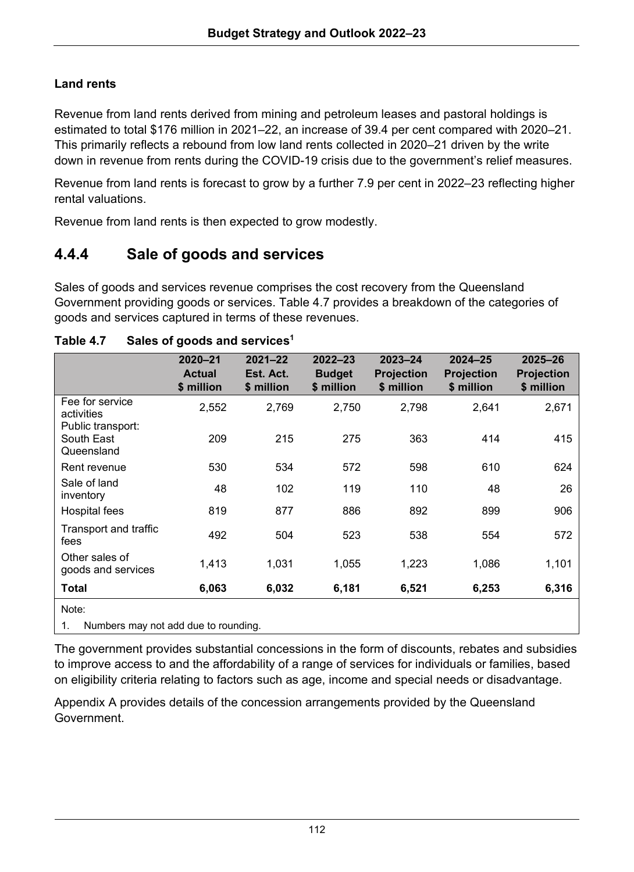## **Land rents**

Revenue from land rents derived from mining and petroleum leases and pastoral holdings is estimated to total \$176 million in 2021–22, an increase of 39.4 per cent compared with 2020–21. This primarily reflects a rebound from low land rents collected in 2020–21 driven by the write down in revenue from rents during the COVID-19 crisis due to the government's relief measures.

Revenue from land rents is forecast to grow by a further 7.9 per cent in 2022–23 reflecting higher rental valuations.

Revenue from land rents is then expected to grow modestly.

## **4.4.4 Sale of goods and services**

Sales of goods and services revenue comprises the cost recovery from the Queensland Government providing goods or services. Table 4.7 provides a breakdown of the categories of goods and services captured in terms of these revenues.

|                                               | $2020 - 21$<br><b>Actual</b><br>\$ million | $2021 - 22$<br>Est. Act.<br>\$ million | $2022 - 23$<br><b>Budget</b><br>\$ million | $2023 - 24$<br><b>Projection</b><br>\$ million | $2024 - 25$<br><b>Projection</b><br>\$ million | $2025 - 26$<br><b>Projection</b><br>\$ million |  |  |
|-----------------------------------------------|--------------------------------------------|----------------------------------------|--------------------------------------------|------------------------------------------------|------------------------------------------------|------------------------------------------------|--|--|
| Fee for service<br>activities                 | 2,552                                      | 2,769                                  | 2,750                                      | 2,798                                          | 2,641                                          | 2,671                                          |  |  |
| Public transport:<br>South East<br>Queensland | 209                                        | 215                                    | 275                                        | 363                                            | 414                                            | 415                                            |  |  |
| Rent revenue                                  | 530                                        | 534                                    | 572                                        | 598                                            | 610                                            | 624                                            |  |  |
| Sale of land<br>inventory                     | 48                                         | 102                                    | 119                                        | 110                                            | 48                                             | 26                                             |  |  |
| Hospital fees                                 | 819                                        | 877                                    | 886                                        | 892                                            | 899                                            | 906                                            |  |  |
| Transport and traffic<br>fees                 | 492                                        | 504                                    | 523                                        | 538                                            | 554                                            | 572                                            |  |  |
| Other sales of<br>goods and services          | 1,413                                      | 1,031                                  | 1,055                                      | 1,223                                          | 1,086                                          | 1,101                                          |  |  |
| Total                                         | 6,063                                      | 6,032                                  | 6,181                                      | 6,521                                          | 6,253                                          | 6,316                                          |  |  |
| Note:                                         |                                            |                                        |                                            |                                                |                                                |                                                |  |  |
| Numbers may not add due to rounding.<br>1.    |                                            |                                        |                                            |                                                |                                                |                                                |  |  |

## **Table 4.7 Sales of goods and services1**

The government provides substantial concessions in the form of discounts, rebates and subsidies to improve access to and the affordability of a range of services for individuals or families, based on eligibility criteria relating to factors such as age, income and special needs or disadvantage.

Appendix A provides details of the concession arrangements provided by the Queensland Government.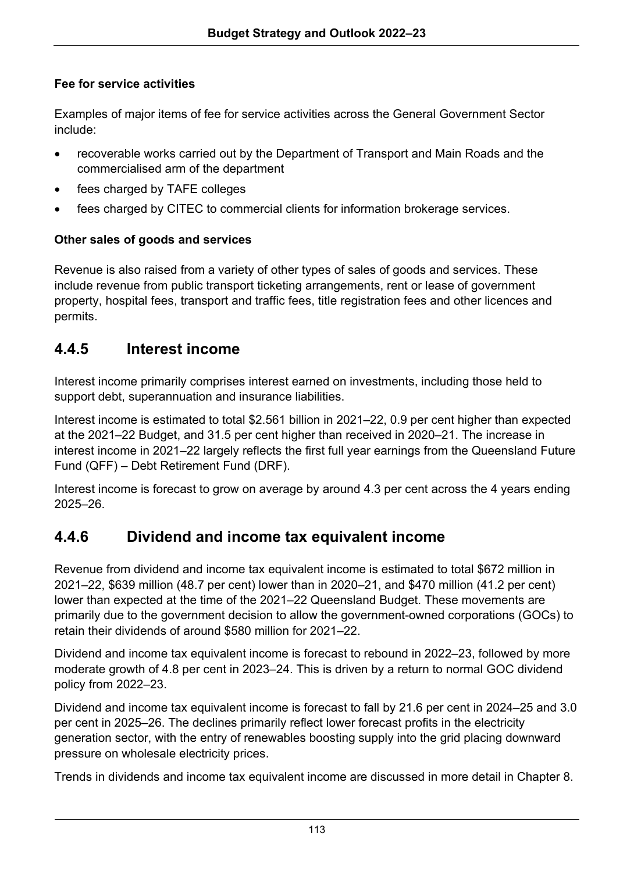## **Fee for service activities**

Examples of major items of fee for service activities across the General Government Sector include:

- recoverable works carried out by the Department of Transport and Main Roads and the commercialised arm of the department
- fees charged by TAFE colleges
- fees charged by CITEC to commercial clients for information brokerage services.

## **Other sales of goods and services**

Revenue is also raised from a variety of other types of sales of goods and services. These include revenue from public transport ticketing arrangements, rent or lease of government property, hospital fees, transport and traffic fees, title registration fees and other licences and permits.

## **4.4.5 Interest income**

Interest income primarily comprises interest earned on investments, including those held to support debt, superannuation and insurance liabilities.

Interest income is estimated to total \$2.561 billion in 2021–22, 0.9 per cent higher than expected at the 2021–22 Budget, and 31.5 per cent higher than received in 2020–21. The increase in interest income in 2021–22 largely reflects the first full year earnings from the Queensland Future Fund (QFF) – Debt Retirement Fund (DRF).

Interest income is forecast to grow on average by around 4.3 per cent across the 4 years ending 2025–26.

## **4.4.6 Dividend and income tax equivalent income**

Revenue from dividend and income tax equivalent income is estimated to total \$672 million in 2021–22, \$639 million (48.7 per cent) lower than in 2020–21, and \$470 million (41.2 per cent) lower than expected at the time of the 2021–22 Queensland Budget. These movements are primarily due to the government decision to allow the government-owned corporations (GOCs) to retain their dividends of around \$580 million for 2021–22.

Dividend and income tax equivalent income is forecast to rebound in 2022–23, followed by more moderate growth of 4.8 per cent in 2023–24. This is driven by a return to normal GOC dividend policy from 2022–23.

Dividend and income tax equivalent income is forecast to fall by 21.6 per cent in 2024–25 and 3.0 per cent in 2025–26. The declines primarily reflect lower forecast profits in the electricity generation sector, with the entry of renewables boosting supply into the grid placing downward pressure on wholesale electricity prices.

Trends in dividends and income tax equivalent income are discussed in more detail in Chapter 8.